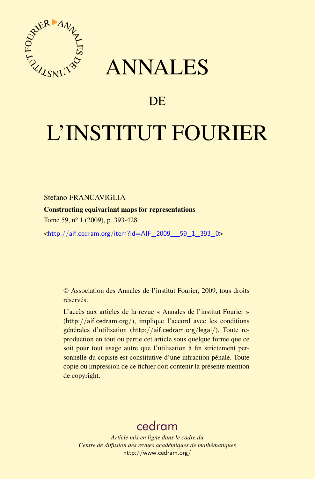

## ANNALES

## **DE**

# L'INSTITUT FOURIER

#### Stefano FRANCAVIGLIA

Constructing equivariant maps for representations

Tome 59, n<sup>o</sup> 1 (2009), p. 393-428.

<[http://aif.cedram.org/item?id=AIF\\_2009\\_\\_59\\_1\\_393\\_0](http://aif.cedram.org/item?id=AIF_2009__59_1_393_0)>

© Association des Annales de l'institut Fourier, 2009, tous droits réservés.

L'accès aux articles de la revue « Annales de l'institut Fourier » (<http://aif.cedram.org/>), implique l'accord avec les conditions générales d'utilisation (<http://aif.cedram.org/legal/>). Toute reproduction en tout ou partie cet article sous quelque forme que ce soit pour tout usage autre que l'utilisation à fin strictement personnelle du copiste est constitutive d'une infraction pénale. Toute copie ou impression de ce fichier doit contenir la présente mention de copyright.

## [cedram](http://www.cedram.org/)

*Article mis en ligne dans le cadre du Centre de diffusion des revues académiques de mathématiques* <http://www.cedram.org/>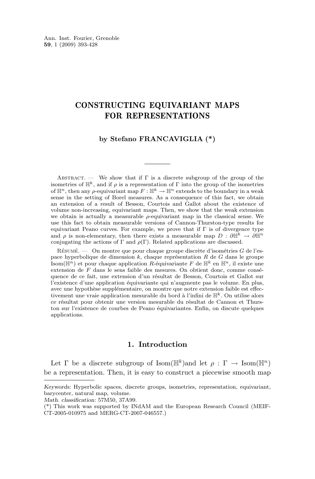#### CONSTRUCTING EQUIVARIANT MAPS FOR REPRESENTATIONS

#### **by Stefano FRANCAVIGLIA (\*)**

ABSTRACT. — We show that if  $\Gamma$  is a discrete subgroup of the group of the isometries of  $\mathbb{H}^k$ , and if  $\rho$  is a representation of  $\Gamma$  into the group of the isometries of  $\mathbb{H}^n$ , then any *ρ*-equivariant map  $F : \mathbb{H}^k \to \mathbb{H}^n$  extends to the boundary in a weak sense in the setting of Borel measures. As a consequence of this fact, we obtain an extension of a result of Besson, Courtois and Gallot about the existence of volume non-increasing, equivariant maps. Then, we show that the weak extension we obtain is actually a measurable  $\rho$ -equivariant map in the classical sense. We use this fact to obtain measurable versions of Cannon-Thurston-type results for equivariant Peano curves. For example, we prove that if  $\Gamma$  is of divergence type and  $\rho$  is non-elementary, then there exists a measurable map  $D : \partial \mathbb{H}^k \to \partial \mathbb{H}^n$ conjugating the actions of Γ and  $\rho(\Gamma)$ . Related applications are discussed.

 $R$ ÉSUMÉ. — On montre que pour chaque groupe discrète d'isométries G de l'espace hyperbolique de dimension k, chaque représentation R de G dans le groupe Isom( $\mathbb{H}^n$ ) et pour chaque application R-équivariante F de  $\mathbb{H}^k$  en  $\mathbb{H}^n$ , il existe une extension de F dans le sens faible des mesures. On obtient donc, comme conséquence de ce fait, une extension d'un résultat de Besson, Courtois et Gallot sur l'existence d'une application équivariante qui n'augmente pas le volume. En plus, avec une hypothèse supplémentaire, on montre que notre extension faible est effectivement une vraie application mesurable du bord à l'infini de  $\mathbb{H}^k$ . On utilise alors ce résultat pour obtenir une version mesurable du résultat de Cannon et Thurston sur l'existence de courbes de Peano équivariantes. Enfin, on discute quelques applications.

#### **1. Introduction**

Let  $\Gamma$  be a discrete subgroup of Isom( $\mathbb{H}^k$ ) and let  $\rho : \Gamma \to \text{Isom}(\mathbb{H}^n)$ be a representation. Then, it is easy to construct a piecewise smooth map

*Keywords:* Hyperbolic spaces, discrete groups, isometries, representation, equivariant, barycenter, natural map, volume.

*Math. classification:* 57M50, 37A99.

<sup>(\*)</sup> This work was supported by INdAM and the European Research Council (MEIF-CT-2005-010975 and MERG-CT-2007-046557.)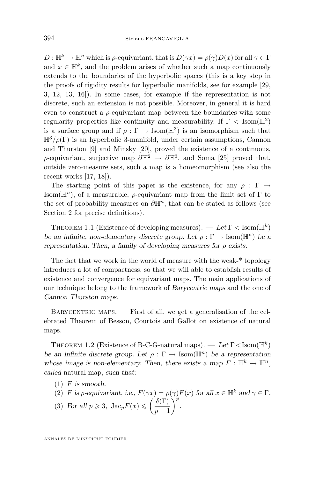<span id="page-2-0"></span> $D: \mathbb{H}^k \to \mathbb{H}^n$  which is  $\rho$ -equivariant, that is  $D(\gamma x) = \rho(\gamma)D(x)$  for all  $\gamma \in \Gamma$ and  $x \in \mathbb{H}^k$ , and the problem arises of whether such a map continuously extends to the boundaries of the hyperbolic spaces (this is a key step in the proofs of rigidity results for hyperbolic manifolds, see for example [\[29,](#page-36-0) [3,](#page-35-0) [12,](#page-35-0) [13,](#page-36-0) [16\]](#page-36-0)). In some cases, for example if the representation is not discrete, such an extension is not possible. Moreover, in general it is hard even to construct a  $\rho$ -equivariant map between the boundaries with some regularity properties like continuity and measurability. If  $\Gamma <$  Isom( $\mathbb{H}^2$ ) is a surface group and if  $\rho : \Gamma \to \text{Isom}(\mathbb{H}^3)$  is an isomorphism such that  $\mathbb{H}^3/\rho(\Gamma)$  is an hyperbolic 3-manifold, under certain assumptions, Cannon and Thurston [\[9\]](#page-35-0) and Minsky [\[20\]](#page-36-0), proved the existence of a continuous,  $\rho$ -equivariant, surjective map  $\partial \mathbb{H}^2 \to \partial \mathbb{H}^3$ , and Soma [\[25\]](#page-36-0) proved that, outside zero-measure sets, such a map is a homeomorphism (see also the recent works [\[17,](#page-36-0) [18\]](#page-36-0)).

The starting point of this paper is the existence, for any  $\rho : \Gamma \rightarrow$ Isom( $\mathbb{H}^n$ ), of a measurable,  $\rho$ -equivariant map from the limit set of  $\Gamma$  to the set of probability measures on  $\partial \mathbb{H}^n$ , that can be stated as follows (see Section [2](#page-5-0) for precise definitions).

THEOREM 1.1 (Existence of developing measures).  $-$  Let  $\Gamma$  < Isom( $\mathbb{H}^k$ ) *be an infinite, non-elementary discrete group.* Let  $\rho : \Gamma \to \text{Isom}(\mathbb{H}^n)$  *be a representation. Then, a family of developing measures for* ρ *exists.*

The fact that we work in the world of measure with the weak-\* topology introduces a lot of compactness, so that we will able to establish results of existence and convergence for equivariant maps. The main applications of our technique belong to the framework of *Barycentric maps* and the one of *Cannon Thurston maps*.

 $BARYCENTRIC MAPS.$  – First of all, we get a generalisation of the celebrated Theorem of Besson, Courtois and Gallot on existence of natural maps.

THEOREM 1.2 (Existence of B-C-G-natural maps).  $-$  Let  $\Gamma$  < Isom( $\mathbb{H}^k$ ) *be an infinite discrete group.* Let  $\rho : \Gamma \to \text{Isom}(\mathbb{H}^n)$  *be a representation* whose image is non-elementary. Then, there exists a map  $F : \mathbb{H}^k \to \mathbb{H}^n$ , *called* natural map*, such that:*

- (1) F *is smooth.*
- (2) F is *ρ*-equivariant, i.e.,  $F(\gamma x) = \rho(\gamma)F(x)$  for all  $x \in \mathbb{H}^k$  and  $\gamma \in \Gamma$ .
- (3) For all  $p \geqslant 3$ ,  $\text{Jac}_p F(x) \leqslant \left(\frac{\delta(\Gamma)}{n-1}\right)$  $p-1$  $\int_{0}^{p}$ .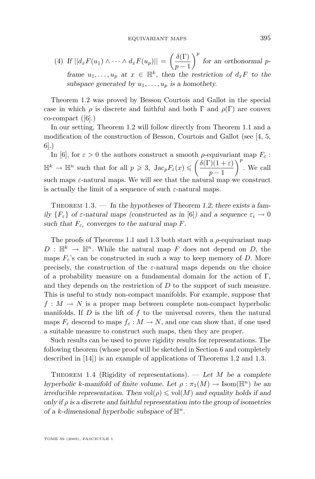<span id="page-3-0"></span>(4) If  $||d_x F(u_1) \wedge \cdots \wedge d_x F(u_p)|| = \left(\frac{\delta(\Gamma)}{n}\right)$  $p-1$ p *for an orthonormal* p*frame*  $u_1, \ldots, u_p$  *at*  $x \in \mathbb{H}^k$ , then the restriction of  $d_x F$  to the subspace generated by  $u_1, \ldots, u_p$  is a homothety.

Theorem [1.2](#page-2-0) was proved by Besson Courtois and Gallot in the special case in which  $\rho$  is discrete and faithful and both  $\Gamma$  and  $\rho(\Gamma)$  are convex  $co-compact$  ([\[6\]](#page-35-0).)

In our setting, Theorem [1.2](#page-2-0) will follow directly from Theorem [1.1](#page-2-0) and a modification of the construction of Besson, Courtois and Gallot (see [\[4,](#page-35-0) [5,](#page-35-0) [6\]](#page-35-0).)

In [\[6\]](#page-35-0), for  $\varepsilon > 0$  the authors construct a smooth  $\rho$ -equivariant map  $F_{\varepsilon}$ :  $\mathbb{H}^k \to \mathbb{H}^n$  such that for all  $p \geqslant 3$ ,  $\text{Jac}_p F_{\varepsilon}(x) \leqslant \left(\frac{\delta(\Gamma)(1+\varepsilon)}{n}\right)$  $p-1$  $\Big)^p$ . We call such maps  $\varepsilon$ -natural maps. We will see that the natural map we construct is actually the limit of a sequence of such  $\varepsilon$ -natural maps.

Theorem 1.3. — *In the hypotheses of Theorem [1.2,](#page-2-0) there exists a family*  ${F_{\varepsilon}}$  *of*  $\varepsilon$ *-natural maps (constructed as in* [\[6\]](#page-35-0)*)* and a sequence  $\varepsilon_i \to 0$ such that  $F_{\varepsilon_i}$  converges to the natural map F.

The proofs of Theorems [1.1](#page-2-0) and 1.3 both start with a  $\rho$ -equivariant map  $D: \mathbb{H}^k \to \mathbb{H}^n$ . While the natural map F does not depend on D, the maps  $F_{\varepsilon}$ 's can be constructed in such a way to keep memory of D. More precisely, the construction of the  $\varepsilon$ -natural maps depends on the choice of a probability measure on a fundamental domain for the action of  $\Gamma$ , and they depends on the restriction of  $D$  to the support of such measure. This is useful to study non-compact manifolds. For example, suppose that  $f: M \to N$  is a proper map between complete non-compact hyperbolic manifolds. If  $D$  is the lift of  $f$  to the universal covers, then the natural maps  $F_{\varepsilon}$  descend to maps  $f_{\varepsilon}: M \to N$ , and one can show that, if one used a suitable measure to construct such maps, then they are proper.

Such results can be used to prove rigidity results for representations. The following theorem (whose proof will be sketched in Section [6](#page-23-0) and completely described in [\[14\]](#page-36-0)) is an example of applications of Theorems [1.2](#page-2-0) and 1.3.

Theorem 1.4 (Rigidity of representations). — *Let* M *be a complete hyperbolic* k-manifold of finite volume. Let  $\rho : \pi_1(M) \to \text{Isom}(\mathbb{H}^n)$  be an *irreducible representation. Then*  $vol(\rho) \leq vol(M)$  *and equality holds if and only if* ρ *is a discrete and faithful representation into the group of isometries of a* k-dimensional hyperbolic subspace of  $\mathbb{H}^n$ .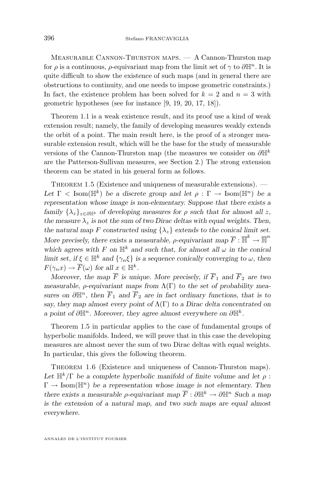<span id="page-4-0"></span>Measurable Cannon-Thurston maps. — A Cannon-Thurston map for  $\rho$  is a continuous,  $\rho$ -equivariant map from the limit set of  $\gamma$  to  $\partial \mathbb{H}^n$ . It is quite difficult to show the existence of such maps (and in general there are obstructions to continuity, and one needs to impose geometric constraints.) In fact, the existence problem has been solved for  $k = 2$  and  $n = 3$  with geometric hypotheses (see for instance [\[9,](#page-35-0) [19,](#page-36-0) [20,](#page-36-0) [17,](#page-36-0) [18\]](#page-36-0)).

Theorem [1.1](#page-2-0) is a weak existence result, and its proof use a kind of weak extension result; namely, the family of developing measures weakly extends the orbit of a point. The main result here, is the proof of a stronger measurable extension result, which will be the base for the study of measurable versions of the Cannon-Thurston map (the measures we consider on  $\partial \mathbb{H}^k$ are the Patterson-Sullivan measures, see Section [2.](#page-5-0)) The strong extension theorem can be stated in his general form as follows.

THEOREM 1.5 (Existence and uniqueness of measurable extensions).  $-$ Let  $\Gamma$  < Isom( $\mathbb{H}^k$ ) *be a discrete group and let*  $\rho : \Gamma \to \text{Isom}(\mathbb{H}^n)$  *be a representation whose image is non-elementary. Suppose that there exists a family*  $\{\lambda_z\}_{z \in \partial \mathbb{H}^k}$  *of developing measures for*  $\rho$  *such that for almost all z,* the measure  $\lambda_z$  *is not the sum of two Dirac deltas with equal weights. Then,* the natural map F constructed using  $\{\lambda_z\}$  extends to the conical limit set. More precisely, there exists a measurable,  $\rho$ -equivariant map  $\overline{F}$  :  $\overline{\mathbb{H}}^k \to \overline{\mathbb{H}}^n$ *which agrees with* F on  $\mathbb{H}^k$  and such that, for almost all  $\omega$  *in the conical limit set, if*  $\xi \in \mathbb{H}^k$  *and*  $\{\gamma_n \xi\}$  *is a sequence conically converging to*  $\omega$ *, then*  $F(\gamma_n x) \to \overline{F}(\omega)$  for all  $x \in \mathbb{H}^k$ .

*Moreover, the map*  $\overline{F}$  *is unique. More precisely, if*  $\overline{F}_1$  *and*  $\overline{F}_2$  *are two measurable,* ρ*-equivariant maps from* Λ(Γ) *to the set of probability measures on*  $\partial \mathbb{H}^n$ , then  $\overline{F}_1$  and  $\overline{F}_2$  are in fact ordinary functions, that is to *say, they map almost every point of* Λ(Γ) *to a Dirac delta concentrated on a* point of  $\partial \mathbb{H}^n$ . Moreover, they agree almost everywhere on  $\partial \mathbb{H}^k$ .

Theorem 1.5 in particular applies to the case of fundamental groups of hyperbolic manifolds. Indeed, we will prove that in this case the developing measures are almost never the sum of two Dirac deltas with equal weights. In particular, this gives the following theorem.

THEOREM 1.6 (Existence and uniqueness of Cannon-Thurston maps). Let  $\mathbb{H}^k/\Gamma$  be a complete hyperbolic manifold of finite volume and let  $\rho$ :  $\Gamma \to \text{Isom}(\mathbb{H}^n)$  be a representation whose image is not elementary. Then *there exists a measurable*  $\rho$ -equivariant map  $\overline{F}: \partial \mathbb{H}^k \to \partial \mathbb{H}^n$  Such a map *is the extension of a natural map, and two such maps are equal almost everywhere.*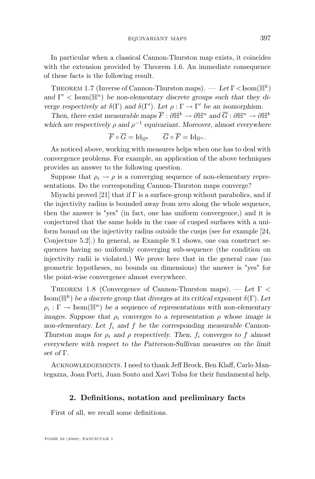<span id="page-5-0"></span>In particular when a classical Cannon-Thurston map exists, it coincides with the extension provided by Theorem [1.6.](#page-4-0) An immediate consequence of these facts is the following result.

THEOREM 1.7 (Inverse of Cannon-Thurston maps). − Let Γ<Isom(H<sup>k</sup>) and  $\Gamma' <$  Isom( $\mathbb{H}^n$ ) *be non-elementary discrete groups such that they diverge respectively at*  $\delta(\Gamma)$  *and*  $\delta(\Gamma')$ *. Let*  $\rho : \Gamma \to \Gamma'$  *be an isomorphism.* 

*Then, there exist measurable maps*  $\overline{F}: \partial \mathbb{H}^k \to \partial \mathbb{H}^n$  and  $\overline{G}: \partial \mathbb{H}^n \to \partial \mathbb{H}^k$ which are respectively  $\rho$  and  $\rho^{-1}$  equivariant. Moreover, almost everywhere

$$
\overline{F}\circ \overline{G}=\mathrm{Id}_{\mathbb{H}^k} \qquad \overline{G}\circ \overline{F}=\mathrm{Id}_{\mathbb{H}^n}.
$$

As noticed above, working with measures helps when one has to deal with convergence problems. For example, an application of the above techniques provides an answer to the following question.

Suppose that  $\rho_i \to \rho$  is a converging sequence of non-elementary representations. Do the corresponding Cannon-Thurston maps converge?

Miyachi proved [\[21\]](#page-36-0) that if  $\Gamma$  is a surface-group without parabolics, and if the injectivity radius is bounded away from zero along the whole sequence, then the answer is "yes" (in fact, one has uniform convergence,) and it is conjectured that the same holds in the case of cusped surfaces with a uniform bound on the injectivity radius outside the cusps (see for example [\[24,](#page-36-0) Conjecture 5.2].) In general, as Example [9.1](#page-34-0) shows, one can construct sequences having no uniformly converging sub-sequence (the condition on injectivity radii is violated.) We prove here that in the general case (no geometric hypotheses, no bounds on dimensions) the answer is "yes" for the point-wise convergence almost everywhere.

Theorem 1.8 (Convergence of Cannon-Thurston maps). — *Let* Γ < Isom( $\mathbb{H}^k$ ) *be a discrete group that diverges at its critical exponent*  $\delta(\Gamma)$ *. Let*  $\rho_i: \Gamma \to \text{Isom}(\mathbb{H}^n)$  be a sequence of representations with non-elementary *images. Suppose that*  $\rho_i$  *converges to a representation*  $\rho$  *whose image is* non-elementary. Let  $f_i$  and  $f$  be the corresponding measurable Cannon-*Thurston maps for*  $\rho_i$  *and*  $\rho$  *respectively. Then,*  $f_i$  *converges to*  $f$  *almost everywhere with respect to the Patterson-Sullivan measures on the limit set of* Γ*.*

Acknowledgements. I need to thank Jeff Brock, Ben Klaff, Carlo Mantegazza, Joan Porti, Juan Souto and Xavi Tolsa for their fundamental help.

#### **2. Definitions, notation and preliminary facts**

First of all, we recall some definitions.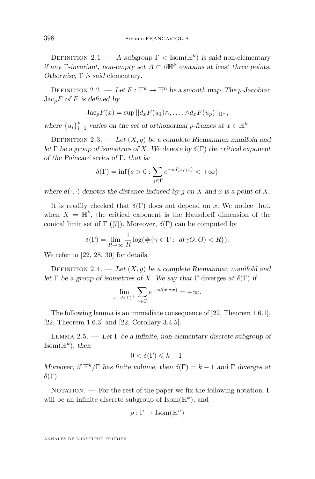<span id="page-6-0"></span>DEFINITION 2.1. — A subgroup  $\Gamma <$  Isom( $\mathbb{H}^k$ ) is said non-elementary *if any* Γ-*invariant, non-empty set*  $A \subset \partial \mathbb{H}^k$  contains at least three points. *Otherwise,* Γ *is said* elementary*.*

DEFINITION 2.2. — Let  $F: \mathbb{H}^k \to \mathbb{H}^n$  be a smooth map. The *p*-Jacobian  $Jac_pF$  *of*  $F$  *is defined by* 

$$
Jac_p F(x) = \sup ||d_x F(u_1) \wedge, \ldots, \wedge d_x F(u_p)||_{\mathbb{H}^n},
$$

where  ${u_i}_{i=1}^p$  varies on the set of orthonormal p-frames at  $x \in \mathbb{H}^k$ .

DEFINITION 2.3. — Let  $(X, g)$  be a complete Riemannian manifold and *let* Γ *be a group of isometries of* X*. We denote by* δ(Γ) *the critical exponent of the Poincaré series of* Γ*, that is:*

$$
\delta(\Gamma) = \inf\{s > 0 : \sum_{\gamma \in \Gamma} e^{-sd(x, \gamma x)} < +\infty\}
$$

*where*  $d(\cdot, \cdot)$  *denotes the distance induced by q on* X and x *is a point of* X.

It is readily checked that  $\delta(\Gamma)$  does not depend on x. We notice that, when  $X = \mathbb{H}^k$ , the critical exponent is the Hausdorff dimension of the conical limit set of  $\Gamma$  ([\[7\]](#page-35-0)). Moreover,  $\delta(\Gamma)$  can be computed by

$$
\delta(\Gamma) = \lim_{R \to \infty} \frac{1}{R} \log(\#\{\gamma \in \Gamma : d(\gamma O, O) < R\}).
$$

We refer to [\[22,](#page-36-0) [28,](#page-36-0) [30\]](#page-36-0) for details.

DEFINITION 2.4. — Let  $(X, g)$  be a complete Riemannian manifold and *let*  $\Gamma$  *be a group of isometries of X. We say that*  $\Gamma$  diverges *at*  $\delta(\Gamma)$  *if* 

$$
\lim_{s \to \delta(\Gamma)^+} \sum_{\gamma \in \Gamma} e^{-sd(x, \gamma x)} = +\infty.
$$

The following lemma is an immediate consequence of [\[22,](#page-36-0) Theorem 1.6.1], [\[22,](#page-36-0) Theorem 1.6.3] and [\[22,](#page-36-0) Corollary 3.4.5].

Lemma 2.5. — *Let* Γ *be a infinite, non-elementary discrete subgroup of*  $\text{Isom}(\mathbb{H}^k)$ , then

$$
0 < \delta(\Gamma) \leqslant k - 1.
$$

*Moreover, if*  $\mathbb{H}^k/\Gamma$  *has finite volume, then*  $\delta(\Gamma) = k - 1$  *and*  $\Gamma$  *diverges at*  $\delta(\Gamma)$ .

NOTATION. — For the rest of the paper we fix the following notation.  $\Gamma$ will be an infinite discrete subgroup of  $\text{Isom}(\mathbb{H}^k)$ , and

$$
\rho:\Gamma\to\operatorname{Isom}(\mathbb{H}^n)
$$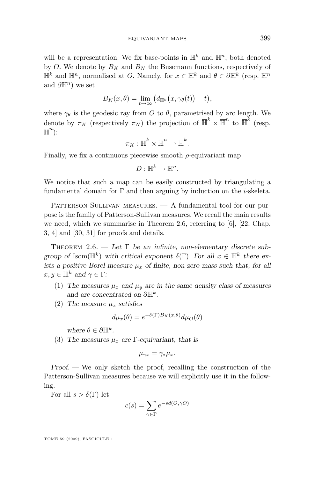<span id="page-7-0"></span>will be a representation. We fix base-points in  $\mathbb{H}^k$  and  $\mathbb{H}^n$ , both denoted by O. We denote by  $B_K$  and  $B_N$  the Busemann functions, respectively of  $\mathbb{H}^k$  and  $\mathbb{H}^n$ , normalised at O. Namely, for  $x \in \mathbb{H}^k$  and  $\theta \in \partial \mathbb{H}^k$  (resp.  $\mathbb{H}^n$ and  $\partial \mathbb{H}^n$ ) we set

$$
B_K(x,\theta) = \lim_{t \to \infty} (d_{\mathbb{H}^k}(x,\gamma_\theta(t)) - t),
$$

where  $\gamma_{\theta}$  is the geodesic ray from O to  $\theta$ , parametrised by arc length. We denote by  $\pi_K$  (respectively  $\pi_N$ ) the projection of  $\overline{\mathbb{H}}^k \times \overline{\mathbb{H}}^n$  to  $\overline{\mathbb{H}}^k$  (resp.  $\overline{\mathbb{H}}^n$ ):

$$
\pi_K: \overline{\mathbb{H}}^k \times \overline{\mathbb{H}}^n \to \overline{\mathbb{H}}^k.
$$

Finally, we fix a continuous piecewise smooth  $\rho$ -equivariant map

$$
D: \mathbb{H}^k \to \mathbb{H}^n.
$$

We notice that such a map can be easily constructed by triangulating a fundamental domain for  $\Gamma$  and then arguing by induction on the *i*-skeleta.

 $PATTERSON-SULLIVAN MEASURES. - A fundamental tool for our pur$ pose is the family of Patterson-Sullivan measures. We recall the main results we need, which we summarise in Theorem 2.6, referring to  $[6]$ ,  $[22]$ , Chap. 3, 4] and [\[30,](#page-36-0) [31\]](#page-36-0) for proofs and details.

Theorem 2.6. — *Let* Γ *be an infinite, non-elementary discrete subgroup of* Isom( $\mathbb{H}^k$ ) *with critical exponent*  $\delta(\Gamma)$ *. For all*  $x \in \mathbb{H}^k$  *there exists a positive Borel measure*  $\mu_x$  *of finite, non-zero mass such that, for all*  $x, y \in \mathbb{H}^k$  and  $\gamma \in \Gamma$ :

- (1) The measures  $\mu_x$  and  $\mu_y$  are in the same density class of measures and are concentrated on  $\partial \mathbb{H}^k$ .
- (2) The measure  $\mu_x$  satisfies

$$
d\mu_x(\theta) = e^{-\delta(\Gamma)B_K(x,\theta)}d\mu_O(\theta)
$$

*where*  $\theta \in \partial \mathbb{H}^k$ .

(3) The measures  $\mu_x$  are  $\Gamma$ -equivariant, that is

$$
\mu_{\gamma x} = \gamma_* \mu_x.
$$

*Proof. —* We only sketch the proof, recalling the construction of the Patterson-Sullivan measures because we will explicitly use it in the following.

For all  $s > \delta(\Gamma)$  let

$$
c(s) = \sum_{\gamma \in \Gamma} e^{-sd(O, \gamma O)}
$$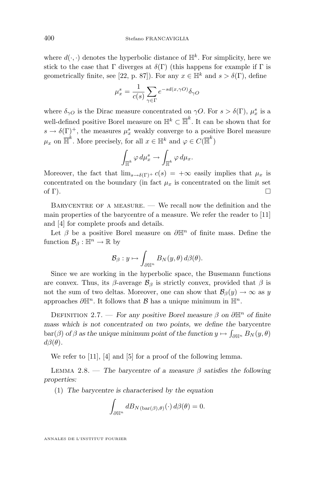<span id="page-8-0"></span>where  $d(\cdot, \cdot)$  denotes the hyperbolic distance of  $\mathbb{H}^k$ . For simplicity, here we stick to the case that  $\Gamma$  diverges at  $\delta(\Gamma)$  (this happens for example if  $\Gamma$  is geometrically finite, see [\[22,](#page-36-0) p. 87]). For any  $x \in \mathbb{H}^k$  and  $s > \delta(\Gamma)$ , define

$$
\mu_x^s = \frac{1}{c(s)} \sum_{\gamma \in \Gamma} e^{-sd(x,\gamma O)} \delta_{\gamma O}
$$

where  $\delta_{\gamma O}$  is the Dirac measure concentrated on  $\gamma O$ . For  $s > \delta(\Gamma)$ ,  $\mu_x^s$  is a well-defined positive Borel measure on  $\mathbb{H}^k \subset \overline{\mathbb{H}}^k$ . It can be shown that for  $s \to \delta(\Gamma)^+$ , the measures  $\mu_x^s$  weakly converge to a positive Borel measure  $\mu_x$  on  $\overline{\mathbb{H}}^k$ . More precisely, for all  $x \in \mathbb{H}^k$  and  $\varphi \in C(\overline{\mathbb{H}}^k)$ 

$$
\int_{\overline{\mathbb{H}}^k} \varphi \, d\mu_x^s \to \int_{\overline{\mathbb{H}}^k} \varphi \, d\mu_x.
$$

Moreover, the fact that  $\lim_{s\to \delta(\Gamma)^+} c(s) = +\infty$  easily implies that  $\mu_x$  is concentrated on the boundary (in fact  $\mu_x$  is concentrated on the limit set of  $\Gamma$ ).

BARYCENTRE OF A MEASURE.  $\overline{\phantom{C}}$  We recall now the definition and the main properties of the barycentre of a measure. We refer the reader to [\[11\]](#page-35-0) and [\[4\]](#page-35-0) for complete proofs and details.

Let  $\beta$  be a positive Borel measure on  $\partial \mathbb{H}^n$  of finite mass. Define the function  $\mathcal{B}_{\beta}: \mathbb{H}^n \to \mathbb{R}$  by

$$
\mathcal{B}_\beta : y \mapsto \int_{\partial \mathbb H^n} B_N(y,\theta) \, d\beta(\theta).
$$

Since we are working in the hyperbolic space, the Busemann functions are convex. Thus, its  $\beta$ -average  $\mathcal{B}_{\beta}$  is strictly convex, provided that  $\beta$  is not the sum of two deltas. Moreover, one can show that  $\mathcal{B}_{\beta}(y) \to \infty$  as y approaches  $\partial \mathbb{H}^n$ . It follows that  $\mathcal{B}$  has a unique minimum in  $\mathbb{H}^n$ .

DEFINITION 2.7. — *For any positive Borel measure*  $\beta$  *on*  $\partial \mathbb{H}^n$  *of finite mass which is not concentrated on two points, we define the* barycentre  $bar(\beta)$  *of*  $\beta$  *as the unique minimum point of the function*  $y \mapsto \int_{\partial \mathbb{H}^n} B_N(y, \theta)$  $d\beta(\theta)$ .

We refer to [\[11\]](#page-35-0), [\[4\]](#page-35-0) and [\[5\]](#page-35-0) for a proof of the following lemma.

LEMMA 2.8. — The barycentre of a measure  $\beta$  satisfies the following *properties:*

(1) *The barycentre is characterised by the equation*

$$
\int_{\partial \mathbb{H}^n} dB_N(\mathrm{bar}(\beta), \theta)(\cdot) d\beta(\theta) = 0.
$$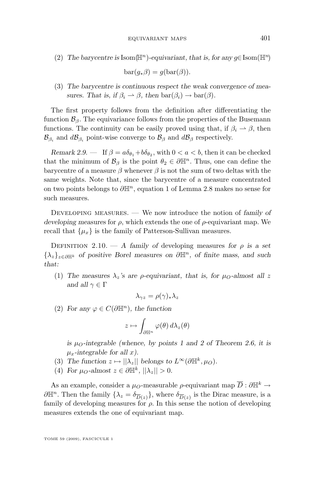<span id="page-9-0"></span>(2) *The barycentre is* Isom( $\mathbb{H}^n$ )-equivariant, that is, for any g∈Isom( $\mathbb{H}^n$ )

$$
bar(g_*\beta) = g(bar(\beta)).
$$

(3) *The barycentre is continuous respect the weak convergence of measures. That is, if*  $\beta_i \to \beta$ *, then*  $bar(\beta_i) \to bar(\beta)$ *.* 

The first property follows from the definition after differentiating the function  $\mathcal{B}_{\beta}$ . The equivariance follows from the properties of the Busemann functions. The continuity can be easily proved using that, if  $\beta_i \rightarrow \beta$ , then  $\mathcal{B}_{\beta_i}$  and  $d\mathcal{B}_{\beta_i}$  point-wise converge to  $\mathcal{B}_{\beta}$  and  $d\mathcal{B}_{\beta}$  respectively.

*Remark 2.9.* — If  $\beta = a\delta_{\theta_1} + b\delta_{\theta_2}$ , with  $0 < a < b$ , then it can be checked that the minimum of  $\mathcal{B}_{\beta}$  is the point  $\theta_2 \in \partial \mathbb{H}^n$ . Thus, one can define the barycentre of a measure  $\beta$  whenever  $\beta$  is not the sum of two deltas with the same weights. Note that, since the barycentre of a measure concentrated on two points belongs to  $\partial \mathbb{H}^n$ , equation [1](#page-8-0) of Lemma [2.8](#page-8-0) makes no sense for such measures.

Developing measures. — We now introduce the notion of *family of developing measures* for  $\rho$ , which extends the one of  $\rho$ -equivariant map. We recall that  $\{\mu_x\}$  is the family of Patterson-Sullivan measures.

DEFINITION 2.10. — *A family of developing measures for*  $\rho$  *is a set* {λz}z∈∂H<sup>k</sup> *of positive Borel measures on* ∂Hn*, of finite mass, and such that:*

(1) The measures  $\lambda_z$ 's are *ρ*-equivariant, that is, for  $\mu_O$ -almost all z *and all*  $\gamma \in \Gamma$ 

$$
\lambda_{\gamma z} = \rho(\gamma)_* \lambda_z
$$

(2) *For any*  $\varphi \in C(\partial \mathbb{H}^n)$ *, the function* 

$$
z \mapsto \int_{\partial \mathbb{H}^n} \varphi(\theta) \, d\lambda_z(\theta)
$$

is  $\mu_{\Omega}$ -integrable (whence, by points [1](#page-7-0) and [2](#page-7-0) of Theorem [2.6,](#page-7-0) it is  $\mu_x$ -integrable for all x.

- (3) The function  $z \mapsto ||\lambda_z||$  belongs to  $L^{\infty}(\partial \mathbb{H}^k, \mu_O)$ .
- (4) For  $\mu_O$ -almost  $z \in \partial \mathbb{H}^k$ ,  $||\lambda_z|| > 0$ .

As an example, consider a  $\mu$ <sub>O</sub>-measurable  $\rho$ -equivariant map  $\overline{D}$  :  $\partial \mathbb{H}^k \to$  $\partial \mathbb{H}^n$ . Then the family  $\{\lambda_z = \delta_{\overline{D}(z)}\}$ , where  $\delta_{\overline{D}(z)}$  is the Dirac measure, is a family of developing measures for  $\rho$ . In this sense the notion of developing measures extends the one of equivariant map.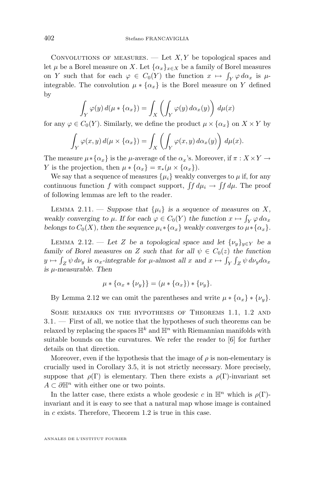<span id="page-10-0"></span>CONVOLUTIONS OF MEASURES.  $-$  Let  $X, Y$  be topological spaces and let  $\mu$  be a Borel measure on X. Let  $\{\alpha_x\}_{x\in X}$  be a family of Borel measures on Y such that for each  $\varphi \in C_0(Y)$  the function  $x \mapsto \int_Y \varphi \, d\alpha_x$  is  $\mu$ integrable. The convolution  $\mu * {\alpha_x}$  is the Borel measure on Y defined by

$$
\int_{Y} \varphi(y) d(\mu * {\alpha_x}) = \int_{X} \left( \int_{Y} \varphi(y) d\alpha_x(y) \right) d\mu(x)
$$

for any  $\varphi \in C_0(Y)$ . Similarly, we define the product  $\mu \times {\alpha_x}$  on  $X \times Y$  by

$$
\int_Y \varphi(x, y) d(\mu \times \{\alpha_x\}) = \int_X \left( \int_Y \varphi(x, y) d\alpha_x(y) \right) d\mu(x).
$$

The measure  $\mu * {\alpha_x}$  is the  $\mu$ -average of the  $\alpha_x$ 's. Moreover, if  $\pi : X \times Y \to Y$ Y is the projection, then  $\mu * {\alpha_x} = \pi_*(\mu \times {\alpha_x}).$ 

We say that a sequence of measures  $\{\mu_i\}$  weakly converges to  $\mu$  if, for any continuous function f with compact support,  $\int f d\mu_i \to \int f d\mu$ . The proof of following lemmas are left to the reader.

LEMMA 2.11. — Suppose that  $\{\mu_i\}$  is a sequence of measures on X, weakly converging to  $\mu$ . If for each  $\varphi \in C_0(Y)$  the function  $x \mapsto \int_Y \varphi \, d\alpha_x$ *belongs to*  $C_0(X)$ *, then the sequence*  $\mu_i * {\alpha_x}$  *weakly converges to*  $\mu * {\alpha_x}$ *.* 

LEMMA 2.12. — Let Z be a topological space and let  $\{\nu_u\}_{u\in Y}$  be a *family of Borel measures on* Z *such that for all*  $\psi \in C_0(z)$  *the function*  $y \mapsto \int_Z \psi \, d\nu_y$  is  $\alpha_x$ -integrable for  $\mu$ -almost all  $x$  and  $x \mapsto \int_Y \int_Z \psi \, d\nu_y d\alpha_x$ *is* µ*-measurable. Then*

$$
\mu * {\alpha_x * {\nu_y}} = (\mu * {\alpha_x}) * {\nu_y}.
$$

By Lemma 2.12 we can omit the parentheses and write  $\mu * {\alpha_x} * {\gamma_y}$ .

Some remarks on the hypotheses of Theorems [1.1,](#page-2-0) [1.2](#page-2-0) and [3.1.](#page-11-0) — First of all, we notice that the hypotheses of such theorems can be relaxed by replacing the spaces  $\mathbb{H}^k$  and  $\mathbb{H}^n$  with Riemannian manifolds with suitable bounds on the curvatures. We refer the reader to [\[6\]](#page-35-0) for further details on that direction.

Moreover, even if the hypothesis that the image of  $\rho$  is non-elementary is crucially used in Corollary [3.5,](#page-12-0) it is not strictly necessary. More precisely, suppose that  $\rho(\Gamma)$  is elementary. Then there exists a  $\rho(\Gamma)$ -invariant set  $A \subset \partial \mathbb{H}^n$  with either one or two points.

In the latter case, there exists a whole geodesic c in  $\mathbb{H}^n$  which is  $\rho(\Gamma)$ invariant and it is easy to see that a natural map whose image is contained in c exists. Therefore, Theorem [1.2](#page-2-0) is true in this case.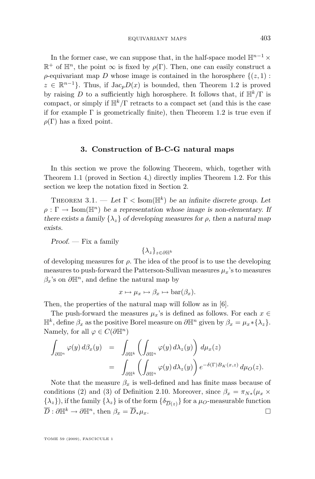<span id="page-11-0"></span>In the former case, we can suppose that, in the half-space model  $\mathbb{H}^{n-1}\times$  $\mathbb{R}^+$  of  $\mathbb{H}^n$ , the point  $\infty$  is fixed by  $\rho(\Gamma)$ . Then, one can easily construct a  $\rho$ -equivariant map D whose image is contained in the horosphere  $\{(z, 1) :$  $z \in \mathbb{R}^{n-1}$ . Thus, if  $\text{Jac}_p D(x)$  is bounded, then Theorem [1.2](#page-2-0) is proved by raising D to a sufficiently high horosphere. It follows that, if  $\mathbb{H}^k/\Gamma$  is compact, or simply if  $\mathbb{H}^k/\Gamma$  retracts to a compact set (and this is the case if for example  $\Gamma$  is geometrically finite), then Theorem [1.2](#page-2-0) is true even if  $\rho(\Gamma)$  has a fixed point.

#### **3. Construction of B-C-G natural maps**

In this section we prove the following Theorem, which, together with Theorem [1.1](#page-2-0) (proved in Section [4,](#page-14-0)) directly implies Theorem [1.2.](#page-2-0) For this section we keep the notation fixed in Section [2.](#page-5-0)

THEOREM 3.1. — Let  $\Gamma$  < Isom( $\mathbb{H}^k$ ) be an infinite discrete group. Let  $\rho : \Gamma \to \text{Isom}(\mathbb{H}^n)$  be a representation whose image is non-elementary. If *there exists a family*  $\{\lambda_z\}$  *of developing measures for*  $\rho$ *, then a natural map exists.*

*Proof. —* Fix a family

 $\{\lambda_z\}_{z\in\partial\mathbb{H}^k}$ 

of developing measures for  $\rho$ . The idea of the proof is to use the developing measures to push-forward the Patterson-Sullivan measures  $\mu_x$ 's to measures  $\beta_x$ 's on  $\partial \mathbb{H}^n$ , and define the natural map by

$$
x \mapsto \mu_x \mapsto \beta_x \mapsto \mathrm{bar}(\beta_x).
$$

Then, the properties of the natural map will follow as in [\[6\]](#page-35-0).

The push-forward the measures  $\mu_x$ 's is defined as follows. For each  $x \in$  $\mathbb{H}^k$ , define  $\beta_x$  as the positive Borel measure on  $\partial \mathbb{H}^n$  given by  $\beta_x = \mu_x * {\lambda_z}.$ Namely, for all  $\varphi \in C(\partial \mathbb{H}^n)$ 

$$
\int_{\partial \mathbb{H}^n} \varphi(y) d\beta_x(y) = \int_{\partial \mathbb{H}^k} \left( \int_{\partial \mathbb{H}^n} \varphi(y) d\lambda_z(y) \right) d\mu_x(z)
$$
  

$$
= \int_{\partial \mathbb{H}^k} \left( \int_{\partial \mathbb{H}^n} \varphi(y) d\lambda_z(y) \right) e^{-\delta(\Gamma)B_K(x,z)} d\mu_O(z).
$$

Note that the measure  $\beta_x$  is well-defined and has finite mass because of conditions [\(2\)](#page-9-0) and [\(3\)](#page-9-0) of Definition [2.10.](#page-9-0) Moreover, since  $\beta_x = \pi_{N*}(\mu_x \times$  $\{\lambda_z\}$ , if the family  $\{\lambda_z\}$  is of the form  $\{\delta_{\overline{D}(z)}\}$  for a  $\mu_O$ -measurable function  $\overline{D}: \partial \mathbb{H}^k \to \partial \mathbb{H}^n$ , then  $\beta_x = \overline{D}_*\mu_x$ .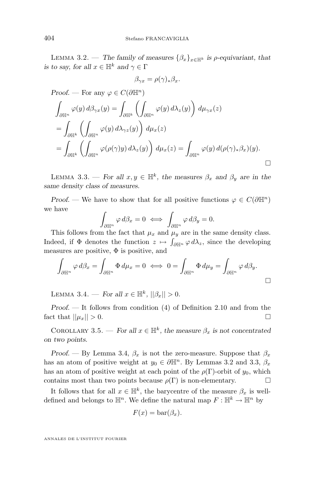<span id="page-12-0"></span>LEMMA 3.2. — The family of measures  $\{\beta_x\}_{x\in\mathbb{H}^k}$  is *ρ*-equivariant, that *is to say, for all*  $x \in \mathbb{H}^k$  *and*  $\gamma \in \Gamma$ 

$$
\beta_{\gamma x} = \rho(\gamma)_* \beta_x.
$$

*Proof.* — For any  $\varphi \in C(\partial \mathbb{H}^n)$ 

$$
\int_{\partial \mathbb{H}^n} \varphi(y) d\beta_{\gamma x}(y) = \int_{\partial \mathbb{H}^k} \left( \int_{\partial \mathbb{H}^n} \varphi(y) d\lambda_z(y) \right) d\mu_{\gamma x}(z)
$$
  
\n
$$
= \int_{\partial \mathbb{H}^k} \left( \int_{\partial \mathbb{H}^n} \varphi(y) d\lambda_{\gamma z}(y) \right) d\mu_x(z)
$$
  
\n
$$
= \int_{\partial \mathbb{H}^k} \left( \int_{\partial \mathbb{H}^n} \varphi(\rho(\gamma)y) d\lambda_z(y) \right) d\mu_x(z) = \int_{\partial \mathbb{H}^n} \varphi(y) d(\rho(\gamma)_* \beta_x)(y).
$$

LEMMA 3.3. — *For all*  $x, y \in \mathbb{H}^k$ , the measures  $\beta_x$  and  $\beta_y$  are in the *same density class of measures.*

*Proof.* — We have to show that for all positive functions  $\varphi \in C(\partial \mathbb{H}^n)$ we have

$$
\int_{\partial \mathbb{H}^n} \varphi \, d\beta_x = 0 \iff \int_{\partial \mathbb{H}^n} \varphi \, d\beta_y = 0.
$$

This follows from the fact that  $\mu_x$  and  $\mu_y$  are in the same density class. Indeed, if  $\Phi$  denotes the function  $z \mapsto \int_{\partial \mathbb{H}^n} \varphi d\lambda_z$ , since the developing measures are positive,  $\Phi$  is positive, and

$$
\int_{\partial \mathbb{H}^n} \varphi \, d\beta_x = \int_{\partial \mathbb{H}^n} \Phi \, d\mu_x = 0 \iff 0 = \int_{\partial \mathbb{H}^n} \Phi \, d\mu_y = \int_{\partial \mathbb{H}^n} \varphi \, d\beta_y.
$$

LEMMA 3.4. — *For all*  $x \in \mathbb{H}^k$ ,  $||\beta_x|| > 0$ .

*Proof. —* It follows from condition [\(4\)](#page-9-0) of Definition [2.10](#page-9-0) and from the fact that  $||\mu_x|| > 0$ .

COROLLARY 3.5. — For all  $x \in \mathbb{H}^k$ , the measure  $\beta_x$  is not concentrated *on two points.*

*Proof.* — By Lemma 3.4,  $\beta_x$  is not the zero-measure. Suppose that  $\beta_x$ has an atom of positive weight at  $y_0 \in \partial \mathbb{H}^n$ . By Lemmas [3.2](#page-11-0) and 3.3,  $\beta_x$ has an atom of positive weight at each point of the  $\rho(\Gamma)$ -orbit of  $y_0$ , which contains most than two points because  $\rho(\Gamma)$  is non-elementary.

It follows that for all  $x \in \mathbb{H}^k$ , the barycentre of the measure  $\beta_x$  is welldefined and belongs to  $\mathbb{H}^n$ . We define the natural map  $F: \mathbb{H}^k \to \mathbb{H}^n$  by

$$
F(x) = \operatorname{bar}(\beta_x).
$$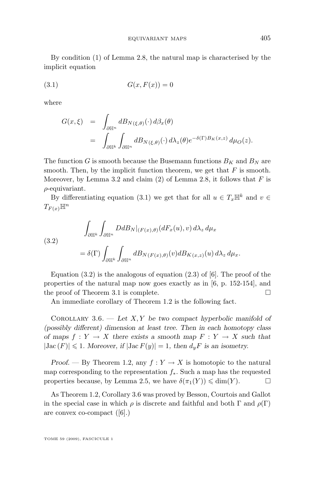By condition [\(1\)](#page-8-0) of Lemma [2.8,](#page-8-0) the natural map is characterised by the implicit equation

$$
(3.1)\qquad G(x, F(x)) = 0
$$

where

$$
G(x,\xi) = \int_{\partial \mathbb{H}^n} dB_{N(\xi,\theta)}(\cdot) d\beta_x(\theta)
$$
  
= 
$$
\int_{\partial \mathbb{H}^k} \int_{\partial \mathbb{H}^n} dB_{N(\xi,\theta)}(\cdot) d\lambda_z(\theta) e^{-\delta(\Gamma)B_K(x,z)} d\mu_O(z).
$$

The function G is smooth because the Busemann functions  $B_K$  and  $B_N$  are smooth. Then, by the implicit function theorem, we get that  $F$  is smooth. Moreover, by Lemma [3.2](#page-11-0) and claim [\(2\)](#page-9-0) of Lemma [2.8,](#page-8-0) it follows that  $F$  is  $\rho$ -equivariant.

By differentiating equation (3.1) we get that for all  $u \in T_x \mathbb{H}^k$  and  $v \in$  $T_{F(x)}\mathbb{H}^n$ 

(3.2)  

$$
\int_{\partial \mathbb{H}^k} \int_{\partial \mathbb{H}^n} DdB_N|_{(F(x), \theta)} (dF_x(u), v) d\lambda_z d\mu_x
$$

$$
= \delta(\Gamma) \int_{\partial \mathbb{H}^k} \int_{\partial \mathbb{H}^n} dB_{N(F(x), \theta)}(v) dB_{K(x, z)}(u) d\lambda_z d\mu_x.
$$

Equation  $(3.2)$  is the analogous of equation  $(2.3)$  of [\[6\]](#page-35-0). The proof of the properties of the natural map now goes exactly as in [\[6,](#page-35-0) p. 152-154], and the proof of Theorem [3.1](#page-11-0) is complete.

An immediate corollary of Theorem [1.2](#page-2-0) is the following fact.

Corollary 3.6. — *Let* X, Y *be two compact hyperbolic manifold of (possibly different) dimension at least tree. Then in each homotopy class of maps*  $f: Y \to X$  *there exists a smooth map*  $F: Y \to X$  *such that*  $|\text{Jac}(F)| \leq 1$ . Moreover, if  $|\text{Jac}(F)| = 1$ , then  $d_y F$  is an isometry.

*Proof.* — By Theorem [1.2,](#page-2-0) any  $f: Y \to X$  is homotopic to the natural map corresponding to the representation  $f_*$ . Such a map has the requested properties because, by Lemma [2.5,](#page-6-0) we have  $\delta(\pi_1(Y)) \leq \dim(Y)$ .

As Theorem [1.2,](#page-2-0) Corollary 3.6 was proved by Besson, Courtois and Gallot in the special case in which  $\rho$  is discrete and faithful and both  $\Gamma$  and  $\rho(\Gamma)$ are convex co-compact ([\[6\]](#page-35-0).)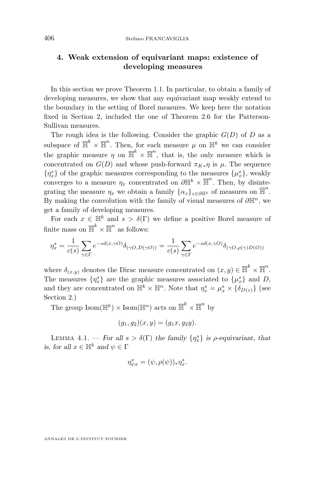#### <span id="page-14-0"></span>**4. Weak extension of equivariant maps: existence of developing measures**

In this section we prove Theorem [1.1.](#page-2-0) In particular, to obtain a family of developing measures, we show that any equivariant map weakly extend to the boundary in the setting of Borel measures. We keep here the notation fixed in Section [2,](#page-5-0) included the one of Theorem [2.6](#page-7-0) for the Patterson-Sullivan measures.

The rough idea is the following. Consider the graphic  $G(D)$  of D as a subspace of  $\overline{\mathbb{H}}^k \times \overline{\mathbb{H}}^n$ . Then, for each measure  $\mu$  on  $\mathbb{H}^k$  we can consider the graphic measure  $\eta$  on  $\overline{\mathbb{H}}^k \times \overline{\mathbb{H}}^n$ , that is, the only measure which is concentrated on  $G(D)$  and whose push-forward  $\pi_{K*}\eta$  is  $\mu$ . The sequence  $\{\eta_x^s\}$  of the graphic measures corresponding to the measures  $\{\mu_x^s\}$ , weakly converges to a measure  $\eta_x$  concentrated on  $\partial \mathbb{H}^k \times \overline{\mathbb{H}}^n$ . Then, by disintegrating the measure  $\eta_x$  we obtain a family  $\{\alpha_z\}_{z\in\partial\mathbb{H}^k}$  of measures on  $\overline{\mathbb{H}}^n$ . By making the convolution with the family of visual measures of  $\partial \mathbb{H}^n$ , we get a family of developing measures.

For each  $x \in \mathbb{H}^k$  and  $s > \delta(\Gamma)$  we define a positive Borel measure of finite mass on  $\overline{\mathbb{H}}^k \times \overline{\mathbb{H}}^n$  as follows:

$$
\eta_x^s = \frac{1}{c(s)} \sum_{\gamma \in \Gamma} e^{-sd(x,\gamma O)} \delta_{(\gamma O,D(\gamma O))} = \frac{1}{c(s)} \sum_{\gamma \in \Gamma} e^{-sd(x,\gamma O)} \delta_{(\gamma O,\rho(\gamma)D(O))}
$$

where  $\delta_{(x,y)}$  denotes the Dirac measure concentrated on  $(x,y) \in \overline{\mathbb{H}}^k \times \overline{\mathbb{H}}^n$ . The measures  $\{\eta_x^s\}$  are the graphic measures associated to  $\{\mu_x^s\}$  and D, and they are concentrated on  $\mathbb{H}^k \times \mathbb{H}^n$ . Note that  $\eta_x^s = \mu_x^s \times {\delta_{D(z)}}$  (see Section [2.](#page-5-0))

The group  $\text{Isom}(\mathbb{H}^k) \times \text{Isom}(\mathbb{H}^n)$  acts on  $\overline{\mathbb{H}}^k \times \overline{\mathbb{H}}^n$  by

$$
(g_1, g_2)(x, y) = (g_1x, g_2y).
$$

LEMMA 4.1. — *For all*  $s > \delta(\Gamma)$  *the family*  $\{\eta_x^s\}$  *is*  $\rho$ *-equivariant, that is, for all*  $x \in \mathbb{H}^k$  *and*  $\psi \in \Gamma$ 

$$
\eta_{\psi x}^s = (\psi, \rho(\psi))_* \eta_x^s.
$$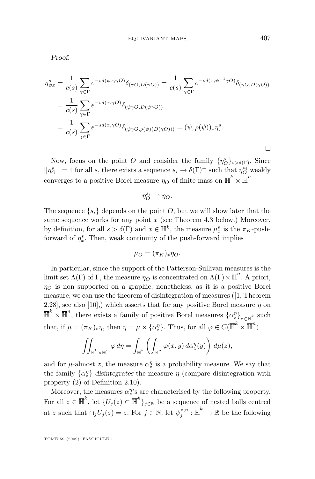*Proof.*

$$
\eta_{\psi x}^{s} = \frac{1}{c(s)} \sum_{\gamma \in \Gamma} e^{-sd(\psi x, \gamma O)} \delta_{(\gamma O, D(\gamma O))} = \frac{1}{c(s)} \sum_{\gamma \in \Gamma} e^{-sd(x, \psi^{-1} \gamma O)} \delta_{(\gamma O, D(\gamma O))}
$$
  
= 
$$
\frac{1}{c(s)} \sum_{\gamma \in \Gamma} e^{-sd(x, \gamma O)} \delta_{(\psi \gamma O, D(\psi \gamma O))}
$$
  
= 
$$
\frac{1}{c(s)} \sum_{\gamma \in \Gamma} e^{-sd(x, \gamma O)} \delta_{(\psi \gamma O, \rho(\psi)(D(\gamma O)))} = (\psi, \rho(\psi))_{*} \eta_{x}^{s}.
$$

Now, focus on the point O and consider the family  $\{\eta_{O}^{s}\}_{s>\delta(\Gamma)}$ . Since  $||\eta_O^s|| = 1$  for all s, there exists a sequence  $s_i \to \delta(\Gamma)^+$  such that  $\eta_O^{s_i}$  weakly converges to a positive Borel measure  $\eta_O$  of finite mass on  $\overline{\mathbb{H}}^k \times \overline{\mathbb{H}}^n$ 

$$
\eta_O^{s_i} \rightharpoonup \eta_O.
$$

The sequence  $\{s_i\}$  depends on the point O, but we will show later that the same sequence works for any point  $x$  (see Theorem [4.3](#page-16-0) below.) Moreover, by definition, for all  $s > \delta(\Gamma)$  and  $x \in \mathbb{H}^k$ , the measure  $\mu_x^s$  is the  $\pi_K$ -pushforward of  $\eta_x^s$ . Then, weak continuity of the push-forward implies

$$
\mu_O = (\pi_K)_*\eta_O.
$$

In particular, since the support of the Patterson-Sullivan measures is the limit set  $\Lambda(\Gamma)$  of  $\Gamma$ , the measure  $\eta_O$  is concentrated on  $\Lambda(\Gamma) \times \overline{\mathbb{H}}^n$ . A priori,  $\eta_O$  is non supported on a graphic; nonetheless, as it is a positive Borel measure, we can use the theorem of disintegration of measures ([\[1,](#page-35-0) Theorem 2.28], see also [\[10\]](#page-35-0),) which asserts that for any positive Borel measure  $\eta$  on  $\overline{\mathbb{H}}^k \times \overline{\mathbb{H}}^n$ , there exists a family of positive Borel measures  $\{\alpha_z^n\}_{z \in \overline{\mathbb{H}}^k}$  such that, if  $\mu = (\pi_K)_*\eta$ , then  $\eta = \mu \times {\alpha_{\mathcal{Z}}^{\eta}}$ . Thus, for all  $\varphi \in C(\overline{\mathbb{H}}^k \times \overline{\mathbb{H}}^n)$ 

$$
\iint_{\overline{\mathbb{H}}^k \times \overline{\mathbb{H}}^n} \varphi \, d\eta = \int_{\overline{\mathbb{H}}^k} \left( \int_{\overline{\mathbb{H}}^n} \varphi(x, y) \, d\alpha_z^n(y) \right) \, d\mu(z),
$$

and for  $\mu$ -almost z, the measure  $\alpha_2^{\eta}$  is a probability measure. We say that the family  $\{\alpha_2^n\}$  disintegrates the measure  $\eta$  (compare disintegration with property [\(2\)](#page-9-0) of Definition [2.10\)](#page-9-0).

Moreover, the measures  $\alpha_z^{\eta}$ 's are characterised by the following property. For all  $z \in \overline{\mathbb{H}}^k$ , let  $\{U_j(z) \subset \overline{\mathbb{H}}^k\}_{j \in \mathbb{N}}$  be a sequence of nested balls centred at z such that  $\cap_j U_j(z) = z$ . For  $j \in \mathbb{N}$ , let  $\psi_j^{z,\eta} : \overline{\mathbb{H}}^k \to \mathbb{R}$  be the following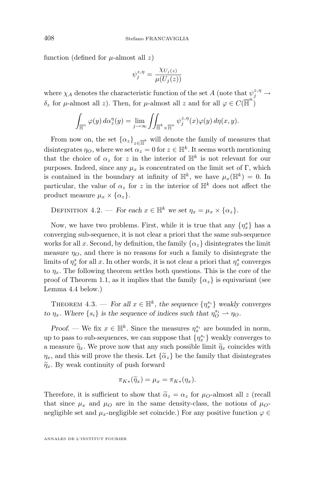<span id="page-16-0"></span>function (defined for  $\mu$ -almost all z)

$$
\psi_j^{z,\eta} = \frac{\chi_{U_j(z)}}{\mu(U_j(z))}
$$

where  $\chi_A$  denotes the characteristic function of the set  $A$  (note that  $\psi_j^{z,\eta} \to$ δ<sub>z</sub> for μ-almost all z). Then, for μ-almost all z and for all  $\varphi$  ∈  $C(\overline{\mathbb{H}}^n)$ 

$$
\int_{\overline{\mathbb{H}}^n} \varphi(y) d\alpha_z^{\eta}(y) = \lim_{j \to \infty} \iint_{\overline{\mathbb{H}}^k \times \overline{\mathbb{H}}^n} \psi_j^{z, \eta}(x) \varphi(y) d\eta(x, y).
$$

From now on, the set  $\{\alpha_z\}_{z \in \overline{\mathbb{H}}^k}$  will denote the family of measures that disintegrates  $\eta_O$ , where we set  $\alpha_z = 0$  for  $z \in \mathbb{H}^k$ . It seems worth mentioning that the choice of  $\alpha_z$  for z in the interior of  $\mathbb{H}^k$  is not relevant for our purposes. Indeed, since any  $\mu_x$  is concentrated on the limit set of Γ, which is contained in the boundary at infinity of  $\mathbb{H}^k$ , we have  $\mu_x(\mathbb{H}^k) = 0$ . In particular, the value of  $\alpha_z$  for z in the interior of  $\mathbb{H}^k$  does not affect the product measure  $\mu_x \times {\alpha_z}$ .

DEFINITION 4.2. — *For each*  $x \in \mathbb{H}^k$  *we set*  $\eta_x = \mu_x \times \{\alpha_z\}.$ 

Now, we have two problems. First, while it is true that any  $\{\eta_x^s\}$  has a converging sub-sequence, it is not clear a priori that the same sub-sequence works for all x. Second, by definition, the family  $\{\alpha_z\}$  disintegrates the limit measure  $\eta_O$ , and there is no reasons for such a family to disintegrate the limits of  $\eta_x^s$  for all x. In other words, it is not clear a priori that  $\eta_x^s$  converges to  $\eta_x$ . The following theorem settles both questions. This is the core of the proof of Theorem [1.1,](#page-2-0) as it implies that the family  $\{\alpha_z\}$  is equivariant (see Lemma [4.4](#page-19-0) below.)

THEOREM  $4.3.$  — *For all*  $x \in \mathbb{H}^k$ , the sequence  $\{\eta_x^{s_i}\}\$  weakly converges *to*  $\eta_x$ . Where  $\{s_i\}$  *is the sequence of indices such that*  $\eta_O^{s_i} \to \eta_O$ .

*Proof.* — We fix  $x \in \mathbb{H}^k$ . Since the measures  $\eta_x^{s_i}$  are bounded in norm, up to pass to sub-sequences, we can suppose that  $\{\eta_x^{s_i}\}$  weakly converges to a measure  $\tilde{\eta}_x$ . We prove now that any such possible limit  $\tilde{\eta}_x$  coincides with  $\eta_x$ , and this will prove the thesis. Let  $\{\tilde{\alpha}_z\}$  be the family that disintegrates  $\widetilde{\eta}_x$ . By weak continuity of push forward

$$
\pi_{K*}(\widetilde{\eta}_x)=\mu_x=\pi_{K*}(\eta_x).
$$

Therefore, it is sufficient to show that  $\tilde{\alpha}_z = \alpha_z$  for  $\mu_O$ -almost all z (recall that since  $\mu_x$  and  $\mu_{\mathcal{O}}$  are in the same density-class, the notions of  $\mu_{\mathcal{O}}$ negligible set and  $\mu_x$ -negligible set coincide.) For any positive function  $\varphi \in$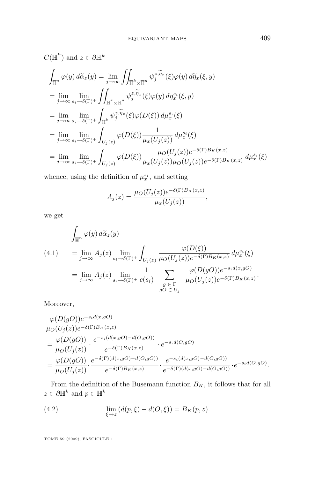<span id="page-17-0"></span>
$$
C(\overline{\mathbb{H}}^n) \text{ and } z \in \partial \mathbb{H}^k
$$
  
\n
$$
\int_{\overline{\mathbb{H}}^n} \varphi(y) d\widetilde{\alpha}_z(y) = \lim_{j \to \infty} \int_{\overline{\mathbb{H}}^k \times \overline{\mathbb{H}}^n} \psi_j^{z, \widetilde{\eta}_x}(\xi) \varphi(y) d\widetilde{\eta}_x(\xi, y)
$$
  
\n
$$
= \lim_{j \to \infty} \lim_{s_i \to \delta(\Gamma)^+} \int_{\overline{\mathbb{H}}^k \times \overline{\mathbb{H}}^n} \psi_j^{z, \widetilde{\eta}_x}(\xi) \varphi(y) d\eta_x^{s_i}(\xi, y)
$$
  
\n
$$
= \lim_{j \to \infty} \lim_{s_i \to \delta(\Gamma)^+} \int_{\overline{\mathbb{H}}^k} \psi_j^{z, \widetilde{\eta}_x}(\xi) \varphi(D(\xi)) d\mu_x^{s_i}(\xi)
$$
  
\n
$$
= \lim_{j \to \infty} \lim_{s_i \to \delta(\Gamma)^+} \int_{U_j(z)} \varphi(D(\xi)) \frac{1}{\mu_x(U_j(z))} d\mu_x^{s_i}(\xi)
$$
  
\n
$$
= \lim_{j \to \infty} \lim_{s_i \to \delta(\Gamma)^+} \int_{U_j(z)} \varphi(D(\xi)) \frac{\mu_O(U_j(z)) e^{-\delta(\Gamma)B_K(x,z)}}{\mu_x(U_j(z)) \mu_O(U_j(z)) e^{-\delta(\Gamma)B_K(x,z)}} d\mu_x^{s_i}(\xi)
$$

whence, using the definition of  $\mu_x^{s_i}$ , and setting

$$
A_j(z) = \frac{\mu_O(U_j(z))e^{-\delta(\Gamma)B_K(x,z)}}{\mu_x(U_j(z))},
$$

we get

$$
\int_{\overline{\mathbb{H}}^n} \varphi(y) d\tilde{\alpha}_z(y)
$$
\n
$$
(4.1) = \lim_{j \to \infty} A_j(z) \lim_{s_i \to \delta(\Gamma)^+} \int_{U_j(z)} \frac{\varphi(D(\xi))}{\mu_O(U_j(z))e^{-\delta(\Gamma)B_K(x,z)}} d\mu_x^{s_i}(\xi)
$$
\n
$$
= \lim_{j \to \infty} A_j(z) \lim_{s_i \to \delta(\Gamma)^+} \frac{1}{c(s_i)} \sum_{\substack{g \in \Gamma \\ gO \in U_j}} \frac{\varphi(D(gO))e^{-s_i d(x,gO)}}{\mu_O(U_j(z))e^{-\delta(\Gamma)B_K(x,z)}}.
$$

Moreover,

$$
\begin{split}\n&\frac{\varphi(D(gO))e^{-s_i d(x,gO)}}{\mu_O(U_j(z))e^{-\delta(\Gamma)B_K(x,z)}} \\
&=\frac{\varphi(D(gO))}{\mu_O(U_j(z))}\cdot\frac{e^{-s_i(d(x,gO)-d(O,gO))}}{e^{-\delta(\Gamma)B_K(x,z)}}\cdot e^{-s_i d(O,gO)} \\
&=\frac{\varphi(D(gO))}{\mu_O(U_j(z))}\cdot\frac{e^{-\delta(\Gamma)(d(x,gO)-d(O,gO))}}{e^{-\delta(\Gamma)B_K(x,z)}}\cdot\frac{e^{-s_i(d(x,gO)-d(O,gO))}}{e^{-\delta(\Gamma)(d(x,gO)-d(O,gO))}}\cdot e^{-s_i d(O,gO)}.\n\end{split}
$$

From the definition of the Busemann function  $B_K$ , it follows that for all  $z \in \partial \mathbb{H}^k$  and  $p \in \mathbb{H}^k$ 

(4.2) 
$$
\lim_{\xi \to z} (d(p, \xi) - d(O, \xi)) = B_K(p, z).
$$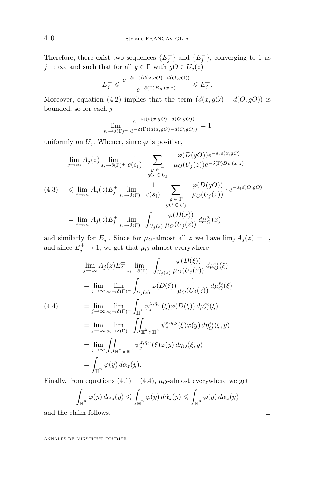Therefore, there exist two sequences  $\{E_j^+\}$  and  $\{E_j^-\}$ , converging to 1 as  $j \to \infty$ , and such that for all  $g \in \Gamma$  with  $gO \in U_j(z)$ 

$$
E_j^- \leqslant \frac{e^{-\delta(\Gamma)(d(x,gO)-d(O,gO))}}{e^{-\delta(\Gamma)B_K(x,z)}} \leqslant E_j^+.
$$

Moreover, equation (4.[2\)](#page-17-0) implies that the term  $(d(x, gO) - d(O, gO))$  is bounded, so for each  $j$ 

$$
\lim_{s_i \to \delta(\Gamma) +} \frac{e^{-s_i(d(x,gO) - d(O,gO))}}{e^{-\delta(\Gamma)(d(x,gO) - d(O,gO))}} = 1
$$

uniformly on  $U_i$ . Whence, since  $\varphi$  is positive,

$$
\lim_{j \to \infty} A_j(z) \lim_{s_i \to \delta(\Gamma)^+} \frac{1}{c(s_i)} \sum_{\substack{g \in \Gamma \\ gO \in U_j}} \frac{\varphi(D(gO))e^{-s_i d(x, gO)}}{\mu_O(U_j(z))e^{-\delta(\Gamma)B_K(x, z)}}
$$
\n
$$
(4.3) \leq \lim_{j \to \infty} A_j(z)E_j^+ \lim_{s_i \to \delta(\Gamma)^+} \frac{1}{c(s_i)} \sum_{\substack{g \in \Gamma \\ gO \in U_j}} \frac{\varphi(D(gO))}{\mu_O(U_j(z))} \cdot e^{-s_i d(O, gO)}
$$
\n
$$
= \lim_{j \to \infty} A_j(z)E_j^+ \lim_{s_i \to \delta(\Gamma)^+} \int_{U_j(z)} \frac{\varphi(D(x))}{\mu_O(U_j(z))} d\mu_O^{s_i}(x)
$$

and similarly for  $E_j^-$ . Since for  $\mu_O$ -almost all z we have  $\lim_j A_j(z) = 1$ , and since  $E_j^{\pm} \to 1$ , we get that  $\mu_O$ -almost everywhere

$$
\lim_{j \to \infty} A_j(z) E_j^{\pm} \lim_{s_i \to \delta(\Gamma)^+} \int_{U_j(z)} \frac{\varphi(D(\xi))}{\mu_O(U_j(z))} d\mu_O^{s_i}(\xi)
$$
\n
$$
= \lim_{j \to \infty} \lim_{s_i \to \delta(\Gamma)^+} \int_{U_j(z)} \varphi(D(\xi)) \frac{1}{\mu_O(U_j(z))} d\mu_O^{s_i}(\xi)
$$
\n(4.4)\n
$$
= \lim_{j \to \infty} \lim_{s_i \to \delta(\Gamma)^+} \int_{\overline{\mathbb{H}}^k} \psi_j^{z, \eta_O}(\xi) \varphi(D(\xi)) d\mu_O^{s_i}(\xi)
$$
\n
$$
= \lim_{j \to \infty} \lim_{s_i \to \delta(\Gamma)^+} \int_{\overline{\mathbb{H}}^k \times \overline{\mathbb{H}}^n} \psi_j^{z, \eta_O}(\xi) \varphi(y) d\eta_O^{s_i}(\xi, y)
$$
\n
$$
= \lim_{j \to \infty} \iint_{\overline{\mathbb{H}}^k \times \overline{\mathbb{H}}^n} \psi_j^{z, \eta_O}(\xi) \varphi(y) d\eta_O(\xi, y)
$$
\n
$$
= \int_{\overline{\mathbb{H}}^n} \varphi(y) d\alpha_z(y).
$$

Finally, from equations  $(4.1) - (4.4)$  $(4.1) - (4.4)$ ,  $\mu_{O}$ -almost everywhere we get

$$
\int_{\overline{\mathbb{H}}^n} \varphi(y) d\alpha_z(y) \leqslant \int_{\overline{\mathbb{H}}^n} \varphi(y) d\widetilde{\alpha}_z(y) \leqslant \int_{\overline{\mathbb{H}}^n} \varphi(y) d\alpha_z(y)
$$

and the claim follows.  $\Box$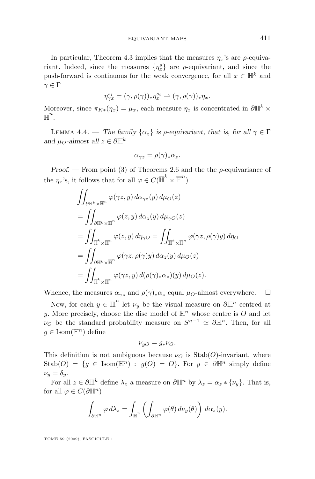<span id="page-19-0"></span>In particular, Theorem [4.3](#page-16-0) implies that the measures  $\eta_x$ 's are  $\rho$ -equivariant. Indeed, since the measures  $\{\eta_x^s\}$  are  $\rho$ -equivariant, and since the push-forward is continuous for the weak convergence, for all  $x \in \mathbb{H}^k$  and  $\gamma \in \Gamma$ 

$$
\eta_{\gamma x}^{s_i}=(\gamma,\rho(\gamma))_*\eta_x^{s_i}\rightharpoonup (\gamma,\rho(\gamma))_*\eta_x.
$$

Moreover, since  $\pi_{K*}(\eta_x) = \mu_x$ , each measure  $\eta_x$  is concentrated in  $\partial \mathbb{H}^k \times$  $\overline{\mathbb{H}}^n$ .

LEMMA 4.4. — *The family*  $\{\alpha_z\}$  *is ρ-equivariant, that is, for all*  $\gamma \in \Gamma$ *and*  $\mu_O$ -almost all  $z \in \partial \mathbb{H}^k$ 

$$
\alpha_{\gamma z} = \rho(\gamma)_* \alpha_z.
$$

*Proof.* — From point [\(3\)](#page-7-0) of Theorems [2.6](#page-7-0) and the the  $\rho$ -equivariance of the  $\eta_x$ 's, it follows that for all  $\varphi \in C(\overline{\mathbb{H}}^k \times \overline{\mathbb{H}}^n)$ 

$$
\iint_{\partial \mathbb{H}^k \times \overline{\mathbb{H}}^n} \varphi(\gamma z, y) d\alpha_{\gamma z}(y) d\mu_O(z)
$$
\n
$$
= \iint_{\partial \mathbb{H}^k \times \overline{\mathbb{H}}^n} \varphi(z, y) d\alpha_z(y) d\mu_{\gamma O}(z)
$$
\n
$$
= \iint_{\overline{\mathbb{H}}^k \times \overline{\mathbb{H}}^n} \varphi(z, y) d\eta_{\gamma O} = \iint_{\overline{\mathbb{H}}^k \times \overline{\mathbb{H}}^n} \varphi(\gamma z, \rho(\gamma) y) d\eta_O
$$
\n
$$
= \iint_{\partial \mathbb{H}^k \times \overline{\mathbb{H}}^n} \varphi(\gamma z, \rho(\gamma) y) d\alpha_z(y) d\mu_O(z)
$$
\n
$$
= \iint_{\overline{\mathbb{H}}^k \times \overline{\mathbb{H}}^n} \varphi(\gamma z, y) d(\rho(\gamma)_* \alpha_z)(y) d\mu_O(z).
$$

Whence, the measures  $\alpha_{\gamma z}$  and  $\rho(\gamma)_*\alpha_z$  equal  $\mu_O$ -almost everywhere.  $\Box$ 

Now, for each  $y \in \overline{\mathbb{H}}^n$  let  $\nu_y$  be the visual measure on  $\partial \mathbb{H}^n$  centred at y. More precisely, choose the disc model of  $\mathbb{H}^n$  whose centre is O and let  $\nu_O$  be the standard probability measure on  $S^{n-1} \simeq \partial \mathbb{H}^n$ . Then, for all  $q \in \text{Isom}(\mathbb{H}^n)$  define

$$
\nu_{gO} = g_* \nu_O.
$$

This definition is not ambiguous because  $\nu<sub>O</sub>$  is Stab(O)-invariant, where  $\text{Stab}(O) = \{g \in \text{Isom}(\mathbb{H}^n) : g(O) = O\}.$  For  $y \in \partial \mathbb{H}^n$  simply define  $\nu_y = \delta_y.$ 

For all  $z \in \partial \mathbb{H}^k$  define  $\lambda_z$  a measure on  $\partial \mathbb{H}^n$  by  $\lambda_z = \alpha_z * {\nu_y}$ . That is, for all  $\varphi \in C(\partial \mathbb{H}^n)$ 

$$
\int_{\partial \mathbb{H}^n} \varphi \, d\lambda_z = \int_{\overline{\mathbb{H}}^n} \left( \int_{\partial \mathbb{H}^n} \varphi(\theta) \, d\nu_y(\theta) \right) \, d\alpha_z(y).
$$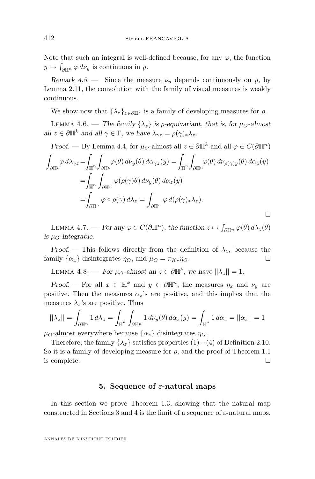<span id="page-20-0"></span>Note that such an integral is well-defined because, for any  $\varphi$ , the function  $y \mapsto \int_{\partial \mathbb{H}^n} \varphi \, d\nu_y$  is continuous in y.

*Remark 4.5.* — Since the measure  $\nu_y$  depends continuously on y, by Lemma [2.11,](#page-10-0) the convolution with the family of visual measures is weakly continuous.

We show now that  $\{\lambda_z\}_{z\in\partial\mathbb{H}^k}$  is a family of developing measures for  $\rho$ .

LEMMA 4.6. — *The family*  $\{\lambda_z\}$  *is p-equivariant, that is, for*  $\mu_O$ -almost *all*  $z \in \partial \mathbb{H}^k$  *and all*  $\gamma \in \Gamma$ *, we have*  $\lambda_{\gamma z} = \rho(\gamma)_* \lambda_z$ *.* 

*Proof.* — By Lemma [4.4,](#page-19-0) for  $\mu_O$ -almost all  $z \in \partial \mathbb{H}^k$  and all  $\varphi \in C(\partial \mathbb{H}^n)$ 

$$
\int_{\partial \mathbb{H}^n} \varphi \, d\lambda_{\gamma z} = \int_{\overline{\mathbb{H}}^n} \int_{\partial \mathbb{H}^n} \varphi(\theta) \, d\nu_y(\theta) \, d\alpha_{\gamma z}(y) = \int_{\overline{\mathbb{H}}^n} \int_{\partial \mathbb{H}^n} \varphi(\theta) \, d\nu_{\rho(\gamma)y}(\theta) \, d\alpha_z(y)
$$
\n
$$
= \int_{\overline{\mathbb{H}}^n} \int_{\partial \mathbb{H}^n} \varphi(\rho(\gamma)\theta) \, d\nu_y(\theta) \, d\alpha_z(y)
$$
\n
$$
= \int_{\partial \mathbb{H}^n} \varphi \circ \rho(\gamma) \, d\lambda_z = \int_{\partial \mathbb{H}^n} \varphi \, d(\rho(\gamma)_* \lambda_z).
$$

LEMMA 4.7. — *For any*  $\varphi \in C(\partial \mathbb{H}^n)$ , the function  $z \mapsto \int_{\partial \mathbb{H}^n} \varphi(\theta) d\lambda_z(\theta)$ *is*  $\mu_{O}$ -integrable.

*Proof.* — This follows directly from the definition of  $\lambda_z$ , because the family  $\{\alpha_z\}$  disintegrates  $\eta_O$ , and  $\mu_O = \pi_{K*}\eta_O$ .

LEMMA 4.8. — *For*  $\mu_O$ -almost all  $z \in \partial \mathbb{H}^k$ , we have  $||\lambda_z|| = 1$ .

*Proof.* — For all  $x \in \mathbb{H}^k$  and  $y \in \partial \mathbb{H}^n$ , the measures  $\eta_x$  and  $\nu_y$  are positive. Then the measures  $\alpha_z$ 's are positive, and this implies that the measures  $\lambda_z$ 's are positive. Thus

$$
||\lambda_z|| = \int_{\partial \mathbb{H}^n} 1 d\lambda_z = \int_{\overline{\mathbb{H}}^n} \int_{\partial \mathbb{H}^n} 1 d\nu_y(\theta) d\alpha_z(y) = \int_{\overline{\mathbb{H}}^n} 1 d\alpha_z = ||\alpha_z|| = 1
$$

 $\mu_{\mathcal{O}}$ -almost everywhere because  $\{\alpha_z\}$  disintegrates  $\eta_{\mathcal{O}}$ .

Therefore, the family  $\{\lambda_z\}$  satisfies properties [\(1\)](#page-9-0)−[\(4\)](#page-9-0) of Definition [2.10.](#page-9-0) So it is a family of developing measure for  $\rho$ , and the proof of Theorem [1.1](#page-2-0) is complete.

#### **5. Sequence of** ε**-natural maps**

In this section we prove Theorem [1.3,](#page-3-0) showing that the natural map constructed in Sections [3](#page-11-0) and [4](#page-14-0) is the limit of a sequence of  $\varepsilon$ -natural maps.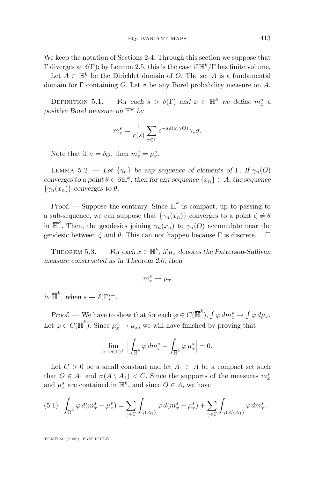<span id="page-21-0"></span>We keep the notation of Sections [2-](#page-5-0)[4.](#page-14-0) Through this section we suppose that Γ diverges at  $\delta(\Gamma)$ ; by Lemma [2.5,](#page-6-0) this is the case if  $\mathbb{H}^k/\Gamma$  has finite volume.

Let  $A \subset \mathbb{H}^k$  be the Dirichlet domain of O. The set A is a fundamental domain for Γ containing O. Let  $\sigma$  be any Borel probability measure on A.

DEFINITION 5.1. — *For each*  $s > \delta(\Gamma)$  and  $x \in \mathbb{H}^k$  we define  $m_x^s$  a *positive Borel measure on*  $\mathbb{H}^k$  *by* 

$$
m_x^s = \frac{1}{c(s)} \sum_{\gamma \in \Gamma} e^{-sd(x,\gamma O)} \gamma_* \sigma.
$$

Note that if  $\sigma = \delta_O$ , then  $m_x^s = \mu_x^s$ .

LEMMA 5.2. — Let  $\{\gamma_n\}$  be any sequence of elements of  $\Gamma$ . If  $\gamma_n(O)$ *converges to a point*  $\theta \in \partial \mathbb{H}^k$ , then for any sequence  $\{x_n\} \in A$ , the sequence  $\{\gamma_n(x_n)\}\)$  *converges to*  $\theta$ *.* 

*Proof.* — Suppose the contrary. Since  $\overline{\mathbb{H}}^k$  is compact, up to passing to a sub-sequence, we can suppose that  $\{\gamma_n(x_n)\}$  converges to a point  $\zeta \neq \theta$ in  $\overline{\mathbb{H}}^k$ . Then, the geodesics joining  $\gamma_n(x_n)$  to  $\gamma_n(O)$  accumulate near the geodesic between  $\zeta$  and  $\theta$ . This can not happen because Γ is discrete.

THEOREM 5.3. — *For each*  $x \in \mathbb{H}^k$ , if  $\mu_x$  denotes the Patterson-Sullivan *measure constructed as in Theorem [2.6,](#page-7-0) then*

$$
m_x^s \rightharpoonup \mu_x
$$

 $\text{in } \overline{\mathbb{H}}^k$ , when  $s \to \delta(\Gamma)^+$ .

*Proof.* — We have to show that for each  $\varphi \in C(\overline{\mathbb{H}}^k)$ ,  $\int \varphi dm_x^s \to \int \varphi d\mu_x$ . Let  $\varphi \in C(\overline{\mathbb{H}}^k)$ . Since  $\mu_x^s \to \mu_x$ , we will have finished by proving that

$$
\lim_{s \to \delta(\Gamma)^+} \Big| \int_{\overline{\mathbb{H}}^k} \varphi \, dm^s_x - \int_{\overline{\mathbb{H}}^k} \varphi \, \mu^s_x \Big| = 0.
$$

Let  $C > 0$  be a small constant and let  $A_1 \subset A$  be a compact set such that  $O \in A_1$  and  $\sigma(A \setminus A_1) < C$ . Since the supports of the measures  $m_x^s$ and  $\mu_x^s$  are contained in  $\mathbb{H}^k$ , and since  $O \in A$ , we have

$$
(5.1)\quad \int_{\overline{\mathbb{H}}^k} \varphi \, d(m_x^s - \mu_x^s) = \sum_{\gamma \in \Gamma} \int_{\gamma(A_1)} \varphi \, d(m_x^s - \mu_x^s) + \sum_{\gamma \in \Gamma} \int_{\gamma(A \backslash A_1)} \varphi \, dm_x^s.
$$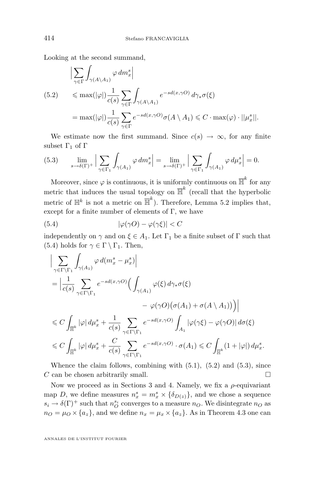Looking at the second summand,

$$
\left| \sum_{\gamma \in \Gamma} \int_{\gamma(A \setminus A_1)} \varphi \, dm_x^s \right|
$$
  
(5.2) 
$$
\leq \max(|\varphi|) \frac{1}{c(s)} \sum_{\gamma \in \Gamma} \int_{\gamma(A \setminus A_1)} e^{-sd(x, \gamma O)} d\gamma_* \sigma(\xi)
$$

$$
= \max(|\varphi|) \frac{1}{c(s)} \sum_{\gamma \in \Gamma} e^{-sd(x, \gamma O)} \sigma(A \setminus A_1) \leq C \cdot \max(\varphi) \cdot ||\mu_x^s||.
$$

We estimate now the first summand. Since  $c(s) \rightarrow \infty$ , for any finite subset  $\Gamma_1$  of  $\Gamma$ 

(5.3) 
$$
\lim_{s \to \delta(\Gamma)^+} \Big| \sum_{\gamma \in \Gamma_1} \int_{\gamma(A_1)} \varphi \, dm_x^s \Big| = \lim_{s \to \delta(\Gamma)^+} \Big| \sum_{\gamma \in \Gamma_1} \int_{\gamma(A_1)} \varphi \, d\mu_x^s \Big| = 0.
$$

Moreover, since  $\varphi$  is continuous, it is uniformly continuous on  $\mathbb{H}^k$  for any metric that induces the usual topology on  $\overline{\mathbb{H}}^k$  (recall that the hyperbolic metric of  $\mathbb{H}^k$  is not a metric on  $\overline{\mathbb{H}}^k$ ). Therefore, Lemma [5.2](#page-21-0) implies that, except for a finite number of elements of  $\Gamma$ , we have

(5.4) 
$$
|\varphi(\gamma O) - \varphi(\gamma \xi)| < C
$$

independently on  $\gamma$  and on  $\xi \in A_1$ . Let  $\Gamma_1$  be a finite subset of  $\Gamma$  such that (5.4) holds for  $\gamma \in \Gamma \setminus \Gamma_1$ . Then,

$$
\begin{split} &\Big|\sum_{\gamma\in\Gamma\backslash\Gamma_{1}}\int_{\gamma(A_{1})}\varphi\,d(m^{s}_{x}-\mu^{s}_{x})\Big| \\ &=\Big|\frac{1}{c(s)}\sum_{\gamma\in\Gamma\backslash\Gamma_{1}}e^{-sd(x,\gamma O)}\Big(\int_{\gamma(A_{1})}\varphi(\xi)\,d\gamma_{*}\sigma(\xi) \\ &\quad -\varphi(\gamma O)\big(\sigma(A_{1})+\sigma(A\setminus A_{1})\big)\Big)\Big| \\ &\leqslant C\int_{\overline{\mathbb{H}}^{k}}|\varphi|\,d\mu^{s}_{x}+\frac{1}{c(s)}\sum_{\gamma\in\Gamma\backslash\Gamma_{1}}e^{-sd(x,\gamma O)}\int_{A_{1}}|\varphi(\gamma\xi)-\varphi(\gamma O)|\,d\sigma(\xi) \\ &\leqslant C\int_{\overline{\mathbb{H}}^{k}}|\varphi|\,d\mu^{s}_{x}+\frac{C}{c(s)}\sum_{\gamma\in\Gamma\backslash\Gamma_{1}}e^{-sd(x,\gamma O)}\cdot\sigma(A_{1})\leqslant C\int_{\overline{\mathbb{H}}^{k}}(1+|\varphi|)\,d\mu^{s}_{x}. \end{split}
$$

Whence the claim follows, combining with  $(5.1)$  $(5.1)$ ,  $(5.2)$  and  $(5.3)$ , since  $C$  can be chosen arbitrarily small.

Now we proceed as in Sections [3](#page-11-0) and [4.](#page-14-0) Namely, we fix a  $\rho$ -equivariant map D, we define measures  $n_x^s = m_x^s \times {\delta_D}(\zeta)$ , and we chose a sequence  $s_i \to \delta(\Gamma)^+$  such that  $n_O^{s_i}$  converges to a measure  $n_O$ . We disintegrate  $n_O$  as  $n_O = \mu_O \times \{a_z\}$ , and we define  $n_x = \mu_x \times \{a_z\}$ . As in Theorem [4.3](#page-16-0) one can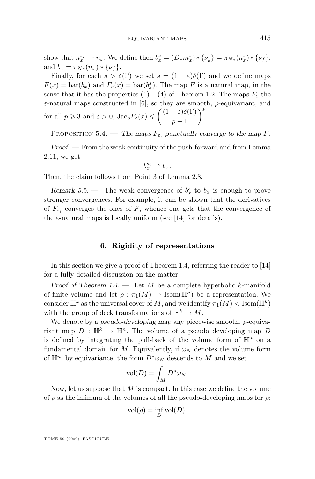<span id="page-23-0"></span>show that  $n_x^{s_i} \rightharpoonup n_x$ . We define then  $b_x^s = (D_* m_x^s) * {\nu_y} = \pi_{N*}(n_x^s) * {\nu_f}$ , and  $b_x = \pi_{N*}(n_x) * {\nu_f}.$ 

Finally, for each  $s > \delta(\Gamma)$  we set  $s = (1 + \varepsilon)\delta(\Gamma)$  and we define maps  $F(x) = \text{bar}(b_x)$  and  $F_\varepsilon(x) = \text{bar}(b_x^s)$ . The map F is a natural map, in the sense that it has the properties  $(1) - (4)$  of Theorem [1.2.](#page-2-0) The maps  $F_{\varepsilon}$  the  $\varepsilon$ -natural maps constructed in [\[6\]](#page-35-0), so they are smooth,  $\rho$ -equivariant, and for all  $p \geqslant 3$  and  $\varepsilon > 0$ ,  $\text{Jac}_p F_{\varepsilon}(x) \leqslant \left( \frac{(1+\varepsilon)\delta(\Gamma)}{n-1} \right)$  $p-1$  $\bigg)$ <sup>p</sup>.

PROPOSITION 5.4. — *The maps*  $F_{\varepsilon_i}$  *punctually converge to the map* F.

*Proof. —* From the weak continuity of the push-forward and from Lemma [2.11,](#page-10-0) we get

$$
b_x^{s_i}\rightharpoonup b_x.
$$

Then, the claim follows from Point [3](#page-9-0) of Lemma [2.8.](#page-8-0)

*Remark* 5.5. – The weak convergence of  $b_x^s$  to  $b_x$  is enough to prove stronger convergences. For example, it can be shown that the derivatives of  $F_{\varepsilon_i}$  converges the ones of F, whence one gets that the convergence of the  $\varepsilon$ -natural maps is locally uniform (see [\[14\]](#page-36-0) for details).

#### **6. Rigidity of representations**

In this section we give a proof of Theorem [1.4,](#page-3-0) referring the reader to [\[14\]](#page-36-0) for a fully detailed discussion on the matter.

*Proof of Theorem [1.4.](#page-3-0) —* Let M be a complete hyperbolic k-manifold of finite volume and let  $\rho : \pi_1(M) \to \text{Isom}(\mathbb{H}^n)$  be a representation. We consider  $\mathbb{H}^k$  as the universal cover of M, and we identify  $\pi_1(M) < \text{Isom}(\mathbb{H}^k)$ with the group of deck transformations of  $\mathbb{H}^k \to M$ .

We denote by a *pseudo-developing map* any piecewise smooth, ρ-equivariant map  $D : \mathbb{H}^k \to \mathbb{H}^n$ . The volume of a pseudo developing map D is defined by integrating the pull-back of the volume form of  $\mathbb{H}^n$  on a fundamental domain for M. Equivalently, if  $\omega_N$  denotes the volume form of  $\mathbb{H}^n$ , by equivariance, the form  $D^*\omega_N$  descends to M and we set

$$
\text{vol}(D) = \int_M D^* \omega_N.
$$

Now, let us suppose that  $M$  is compact. In this case we define the volume of  $\rho$  as the infimum of the volumes of all the pseudo-developing maps for  $\rho$ :

$$
\text{vol}(\rho) = \inf_D \text{vol}(D).
$$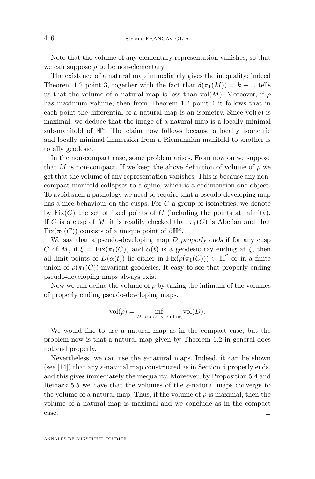Note that the volume of any elementary representation vanishes, so that we can suppose  $\rho$  to be non-elementary.

The existence of a natural map immediately gives the inequality; indeed Theorem [1.2](#page-2-0) point [3,](#page-2-0) together with the fact that  $\delta(\pi_1(M)) = k - 1$ , tells us that the volume of a natural map is less than  $vol(M)$ . Moreover, if  $\rho$ has maximum volume, then from Theorem [1.2](#page-2-0) point [4](#page-2-0) it follows that in each point the differential of a natural map is an isometry. Since  $vol(\rho)$  is maximal, we deduce that the image of a natural map is a locally minimal sub-manifold of  $\mathbb{H}^n$ . The claim now follows because a locally isometric and locally minimal immersion from a Riemannian manifold to another is totally geodesic.

In the non-compact case, some problem arises. From now on we suppose that M is non-compact. If we keep the above definition of volume of  $\rho$  we get that the volume of any representation vanishes. This is because any noncompact manifold collapses to a spine, which is a codimension-one object. To avoid such a pathology we need to require that a pseudo-developing map has a nice behaviour on the cusps. For G a group of isometries, we denote by  $Fix(G)$  the set of fixed points of G (including the points at infinity). If C is a cusp of M, it is readily checked that  $\pi_1(C)$  is Abelian and that Fix( $\pi_1(C)$ ) consists of a unique point of  $\partial \mathbb{H}^k$ .

We say that a pseudo-developing map D *properly ends* if for any cusp C of M, if  $\xi = \text{Fix}(\pi_1(C))$  and  $\alpha(t)$  is a geodesic ray ending at  $\xi$ , then all limit points of  $D(\alpha(t))$  lie either in  $Fix(\rho(\pi_1(C))) \subset \overline{\mathbb{H}}^n$  or in a finite union of  $\rho(\pi_1(C))$ -invariant geodesics. It easy to see that properly ending pseudo-developing maps always exist.

Now we can define the volume of  $\rho$  by taking the infimum of the volumes of properly ending pseudo-developing maps.

$$
vol(\rho) = \inf_{D \text{ properly ending}} vol(D).
$$

We would like to use a natural map as in the compact case, but the problem now is that a natural map given by Theorem [1.2](#page-2-0) in general does not end properly.

Nevertheless, we can use the  $\varepsilon$ -natural maps. Indeed, it can be shown (see [\[14\]](#page-36-0)) that any  $\varepsilon$ -natural map constructed as in Section [5](#page-20-0) properly ends, and this gives immediately the inequality. Moreover, by Proposition [5.4](#page-23-0) and Remark [5.5](#page-23-0) we have that the volumes of the  $\varepsilon$ -natural maps converge to the volume of a natural map. Thus, if the volume of  $\rho$  is maximal, then the volume of a natural map is maximal and we conclude as in the compact  $\Box$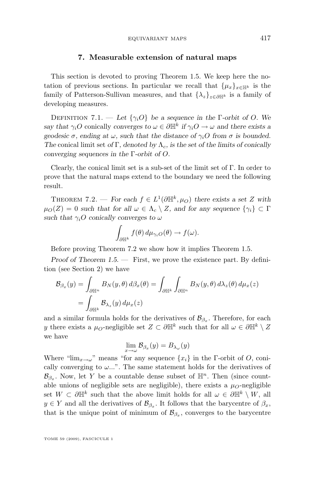#### **7. Measurable extension of natural maps**

<span id="page-25-0"></span>This section is devoted to proving Theorem [1.5.](#page-4-0) We keep here the notation of previous sections. In particular we recall that  $\{\mu_x\}_{x\in\mathbb{H}^k}$  is the family of Patterson-Sullivan measures, and that  $\{\lambda_z\}_{z\in\partial\mathbb{H}^k}$  is a family of developing measures.

DEFINITION 7.1. — Let  $\{\gamma_i O\}$  be a sequence in the Γ-orbit of O. We *say that*  $\gamma_i$ *O* conically *converges to*  $\omega \in \partial \mathbb{H}^k$  *if*  $\gamma_i$ *O*  $\to \omega$  *and there exists a geodesic*  $\sigma$ *, ending at*  $\omega$ *, such that the distance of*  $\gamma_i$ *O from*  $\sigma$  *is bounded. The* conical limit set *of* Γ, denoted by  $\Lambda_c$ , is the set *of* the limits of conically *converging sequences in the* Γ*-orbit of* O*.*

Clearly, the conical limit set is a sub-set of the limit set of Γ. In order to prove that the natural maps extend to the boundary we need the following result.

THEOREM 7.2. — For each  $f \in L^1(\partial \mathbb{H}^k, \mu_0)$  there exists a set Z with  $\mu_O(Z) = 0$  *such that for all*  $\omega \in \Lambda_c \setminus Z$ , and for any sequence  $\{\gamma_i\} \subset \Gamma$ *such that*  $\gamma_i$ *O conically converges to*  $\omega$ 

$$
\int_{\partial \mathbb{H}^k} f(\theta) d\mu_{\gamma_i O}(\theta) \to f(\omega).
$$

Before proving Theorem 7.2 we show how it implies Theorem [1.5.](#page-4-0)

*Proof of Theorem [1.5.](#page-4-0) —* First, we prove the existence part. By definition (see Section [2\)](#page-5-0) we have

$$
\mathcal{B}_{\beta_x}(y) = \int_{\partial \mathbb{H}^n} B_N(y, \theta) d\beta_x(\theta) = \int_{\partial \mathbb{H}^k} \int_{\partial \mathbb{H}^n} B_N(y, \theta) d\lambda_z(\theta) d\mu_x(z)
$$
  
= 
$$
\int_{\partial \mathbb{H}^k} \mathcal{B}_{\lambda_z}(y) d\mu_x(z)
$$

and a similar formula holds for the derivatives of  $\mathcal{B}_{\beta_x}$ . Therefore, for each y there exists a  $\mu_O$ -negligible set  $Z \subset \partial \mathbb{H}^k$  such that for all  $\omega \in \partial \mathbb{H}^k \setminus Z$ we have

$$
\lim_{x \to \omega} \mathcal{B}_{\beta_x}(y) = B_{\lambda_\omega}(y)
$$

Where " $\lim_{x\to\omega}$ " means "for any sequence  $\{x_i\}$  in the Γ-orbit of O, conically converging to  $\omega$ ...". The same statement holds for the derivatives of  $\mathcal{B}_{\beta_x}$ . Now, let Y be a countable dense subset of  $\mathbb{H}^n$ . Then (since countable unions of negligible sets are negligible), there exists a  $\mu_{\Omega}$ -negligible set  $W \subset \partial \mathbb{H}^k$  such that the above limit holds for all  $\omega \in \partial \mathbb{H}^k \setminus W$ , all  $y \in Y$  and all the derivatives of  $\mathcal{B}_{\beta_x}$ . It follows that the barycentre of  $\beta_x$ , that is the unique point of minimum of  $\mathcal{B}_{\beta_x}$ , converges to the barycentre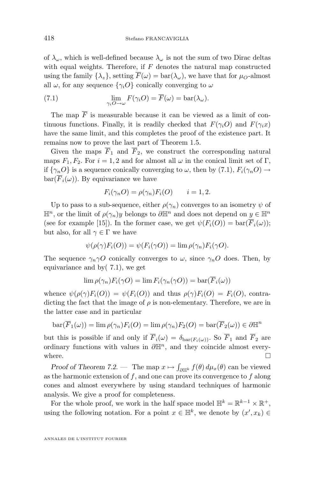of  $\lambda_{\omega}$ , which is well-defined because  $\lambda_{\omega}$  is not the sum of two Dirac deltas with equal weights. Therefore, if  $F$  denotes the natural map constructed using the family  $\{\lambda_z\}$ , setting  $\overline{F}(\omega) = \text{bar}(\lambda_\omega)$ , we have that for  $\mu_O$ -almost all  $\omega$ , for any sequence  $\{\gamma_i O\}$  conically converging to  $\omega$ 

(7.1) 
$$
\lim_{\gamma_i O \to \omega} F(\gamma_i O) = \overline{F}(\omega) = \text{bar}(\lambda_{\omega}).
$$

The map  $\overline{F}$  is measurable because it can be viewed as a limit of continuous functions. Finally, it is readily checked that  $F(\gamma_i O)$  and  $F(\gamma_i x)$ have the same limit, and this completes the proof of the existence part. It remains now to prove the last part of Theorem [1.5.](#page-4-0)

Given the maps  $\overline{F}_1$  and  $\overline{F}_2$ , we construct the corresponding natural maps  $F_1, F_2$ . For  $i = 1, 2$  and for almost all  $\omega$  in the conical limit set of Γ, if  $\{\gamma_n O\}$  is a sequence conically converging to  $\omega$ , then by (7.1),  $F_i(\gamma_n O) \to$  $bar(\overline{F}_i(\omega))$ . By equivariance we have

$$
F_i(\gamma_n O) = \rho(\gamma_n) F_i(O) \qquad i = 1, 2.
$$

Up to pass to a sub-sequence, either  $\rho(\gamma_n)$  converges to an isometry  $\psi$  of  $\mathbb{H}^n$ , or the limit of  $\rho(\gamma_n)y$  belongs to  $\partial \mathbb{H}^n$  and does not depend on  $y \in \mathbb{H}^n$ (see for example [\[15\]](#page-36-0)). In the former case, we get  $\psi(F_i(O)) = \text{bar}(\overline{F}_i(\omega))$ ; but also, for all  $\gamma \in \Gamma$  we have

$$
\psi(\rho(\gamma)F_i(O)) = \psi(F_i(\gamma O)) = \lim \rho(\gamma_n)F_i(\gamma O).
$$

The sequence  $\gamma_n \gamma O$  conically converges to  $\omega$ , since  $\gamma_n O$  does. Then, by equivariance and by( 7.1), we get

$$
\lim \rho(\gamma_n) F_i(\gamma O) = \lim F_i(\gamma_n(\gamma O)) = \text{bar}(F_i(\omega))
$$

whence  $\psi(\rho(\gamma)F_i(O)) = \psi(F_i(O))$  and thus  $\rho(\gamma)F_i(O) = F_i(O)$ , contradicting the fact that the image of  $\rho$  is non-elementary. Therefore, we are in the latter case and in particular

$$
\text{bar}(\overline{F}_1(\omega)) = \lim \rho(\gamma_n) F_i(O) = \lim \rho(\gamma_n) F_2(O) = \text{bar}(\overline{F}_2(\omega)) \in \partial \mathbb{H}^n
$$

but this is possible if and only if  $\overline{F}_i(\omega) = \delta_{\text{bar}(F_i(\omega))}$ . So  $\overline{F}_1$  and  $\overline{F}_2$  are ordinary functions with values in  $\partial \mathbb{H}^n$ , and they coincide almost everywhere.  $\Box$ 

*Proof of Theorem [7.2.](#page-25-0)* — The map  $x \mapsto \int_{\partial \mathbb{H}^k} f(\theta) d\mu_x(\theta)$  can be viewed as the harmonic extension of  $f$ , and one can prove its convergence to  $f$  along cones and almost everywhere by using standard techniques of harmonic analysis. We give a proof for completeness.

For the whole proof, we work in the half space model  $\mathbb{H}^k = \mathbb{R}^{k-1} \times \mathbb{R}^+,$ using the following notation. For a point  $x \in \mathbb{H}^k$ , we denote by  $(x', x_k) \in$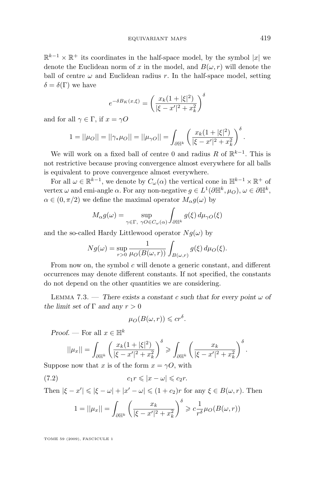<span id="page-27-0"></span> $\mathbb{R}^{k-1} \times \mathbb{R}^+$  its coordinates in the half-space model, by the symbol  $|x|$  we denote the Euclidean norm of x in the model, and  $B(\omega, r)$  will denote the ball of centre  $\omega$  and Euclidean radius r. In the half-space model, setting  $\delta = \delta(\Gamma)$  we have

$$
e^{-\delta B_K(x,\xi)} = \left(\frac{x_k(1+|\xi|^2)}{|\xi - x'|^2 + x_k^2}\right)^{\delta}
$$

and for all  $\gamma \in \Gamma$ , if  $x = \gamma O$ 

$$
1 = ||\mu_O|| = ||\gamma_* \mu_O|| = ||\mu_O|| = \int_{\partial \mathbb{H}^k} \left( \frac{x_k (1 + |\xi|^2)}{|\xi - x'|^2 + x_k^2} \right)^{\delta}.
$$

We will work on a fixed ball of centre 0 and radius R of  $\mathbb{R}^{k-1}$ . This is not restrictive because proving convergence almost everywhere for all balls is equivalent to prove convergence almost everywhere.

For all  $\omega \in \mathbb{R}^{k-1}$ , we denote by  $C_{\omega}(\alpha)$  the vertical cone in  $\mathbb{H}^{k-1} \times \mathbb{R}^+$  of vertex  $\omega$  and emi-angle  $\alpha$ . For any non-negative  $g \in L^1(\partial \mathbb{H}^k, \mu_0)$ ,  $\omega \in \partial \mathbb{H}^k$ ,  $\alpha \in (0, \pi/2)$  we define the maximal operator  $M_{\alpha} g(\omega)$  by

$$
M_{\alpha}g(\omega) = \sup_{\gamma \in \Gamma, \ \gamma O \in C_{\omega}(\alpha)} \int_{\partial \mathbb{H}^k} g(\xi) d\mu_{\gamma O}(\xi)
$$

and the so-called Hardy Littlewood operator  $Nq(\omega)$  by

$$
Ng(\omega) = \sup_{r>0} \frac{1}{\mu_O(B(\omega, r))} \int_{B(\omega, r)} g(\xi) d\mu_O(\xi).
$$

From now on, the symbol  $c$  will denote a generic constant, and different occurrences may denote different constants. If not specified, the constants do not depend on the other quantities we are considering.

LEMMA 7.3. — *There exists a constant c such that for every point*  $\omega$  of *the limit set of*  $\Gamma$  *and any*  $r > 0$ 

$$
\mu_O(B(\omega, r)) \leqslant cr^{\delta}.
$$

*Proof.* — For all  $x \in \mathbb{H}^k$ 

$$
||\mu_x|| = \int_{\partial \mathbb{H}^k} \left( \frac{x_k (1+|\xi|^2)}{|\xi - x'|^2 + x_k^2} \right)^{\delta} \ge \int_{\partial \mathbb{H}^k} \left( \frac{x_k}{|\xi - x'|^2 + x_k^2} \right)^{\delta}.
$$

Suppose now that x is of the form  $x = \gamma O$ , with

(7.2) 
$$
c_1 r \leqslant |x - \omega| \leqslant c_2 r.
$$

Then  $|\xi - x'| \leq |\xi - \omega| + |x' - \omega| \leq (1 + c_2)r$  for any  $\xi \in B(\omega, r)$ . Then

$$
1 = ||\mu_x|| = \int_{\partial \mathbb{H}^k} \left( \frac{x_k}{|\xi - x'|^2 + x_k^2} \right)^{\delta} \geqslant c \frac{1}{r^{\delta}} \mu_O(B(\omega, r))
$$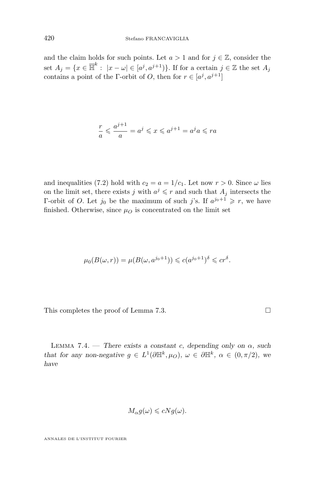<span id="page-28-0"></span>and the claim holds for such points. Let  $a > 1$  and for  $j \in \mathbb{Z}$ , consider the set  $A_j = \{x \in \overline{\mathbb{H}}^k : |x - \omega| \in [a^j, a^{j+1})\}$ . If for a certain  $j \in \mathbb{Z}$  the set  $A_j$ contains a point of the Γ-orbit of O, then for  $r \in [a^j, a^{j+1}]$ 

$$
\frac{r}{a} \leqslant \frac{a^{j+1}}{a} = a^j \leqslant x \leqslant a^{j+1} = a^j a \leqslant ra
$$

and inequalities (7.[2\)](#page-27-0) hold with  $c_2 = a = 1/c_1$ . Let now  $r > 0$ . Since  $\omega$  lies on the limit set, there exists j with  $a^j \leq r$  and such that  $A_j$  intersects the Γ-orbit of *O*. Let  $j_0$  be the maximum of such j's. If  $a^{j_0+1} \geq r$ , we have finished. Otherwise, since  $\mu$ <sup>o</sup> is concentrated on the limit set

$$
\mu_0(B(\omega, r)) = \mu(B(\omega, a^{j_0+1})) \leqslant c(a^{j_0+1})^{\delta} \leqslant c r^{\delta}.
$$

This completes the proof of Lemma [7.3.](#page-27-0)

LEMMA 7.4. — *There exists a constant c, depending only on*  $\alpha$ *, such that for any non-negative*  $g \in L^1(\partial \mathbb{H}^k, \mu_O)$ ,  $\omega \in \partial \mathbb{H}^k$ ,  $\alpha \in (0, \pi/2)$ , we *have*

$$
M_{\alpha}g(\omega) \leqslant cNg(\omega).
$$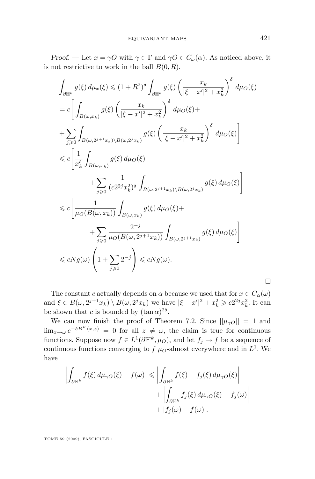*Proof.* — Let  $x = \gamma O$  with  $\gamma \in \Gamma$  and  $\gamma O \in C_{\omega}(\alpha)$ . As noticed above, it is not restrictive to work in the ball  $B(0, R)$ .

$$
\int_{\partial \mathbb{H}^k} g(\xi) d\mu_x(\xi) \leq (1+R^2)^{\delta} \int_{\partial \mathbb{H}^k} g(\xi) \left( \frac{x_k}{|\xi - x'|^2 + x_k^2} \right)^{\delta} d\mu_O(\xi)
$$
\n
$$
= c \left[ \int_{B(\omega, x_k)} g(\xi) \left( \frac{x_k}{|\xi - x'|^2 + x_k^2} \right)^{\delta} d\mu_O(\xi) + \right.
$$
\n
$$
+ \sum_{j \geq 0} \int_{B(\omega, 2^{j+1}x_k) \backslash B(\omega, 2^{j}x_k)} g(\xi) \left( \frac{x_k}{|\xi - x'|^2 + x_k^2} \right)^{\delta} d\mu_O(\xi) \right]
$$
\n
$$
\leq c \left[ \frac{1}{x_k^{\delta}} \int_{B(\omega, x_k)} g(\xi) d\mu_O(\xi) + \right.
$$
\n
$$
+ \sum_{j \geq 0} \frac{1}{(c2^2 j x_k^2)^{\delta}} \int_{B(\omega, 2^{j+1}x_k) \backslash B(\omega, 2^{j}x_k)} g(\xi) d\mu_O(\xi) \right]
$$
\n
$$
\leq c \left[ \frac{1}{\mu_O(B(\omega, x_k))} \int_{B(\omega, x_k)} g(\xi) d\mu_O(\xi) + \right.
$$
\n
$$
+ \sum_{j \geq 0} \frac{2^{-j}}{\mu_O(B(\omega, 2^{j+1}x_k))} \int_{B(\omega, 2^{j+1}x_k)} g(\xi) d\mu_O(\xi) \right]
$$
\n
$$
\leq cN g(\omega) \left( 1 + \sum_{j \geq 0} 2^{-j} \right) \leq cN g(\omega).
$$

The constant c actually depends on  $\alpha$  because we used that for  $x \in C_{\alpha}(\omega)$ and  $\xi \in B(\omega, 2^{j+1}x_k) \setminus B(\omega, 2^jx_k)$  we have  $|\xi - x'|^2 + x_k^2 \geqslant c2^{2j}x_k^2$ . It can be shown that c is bounded by  $(\tan \alpha)^{2\delta}$ .

We can now finish the proof of Theorem [7.2.](#page-25-0) Since  $||\mu_{\gamma O}|| = 1$  and  $\lim_{x\to\omega}e^{-\delta B^{K}(x,z)}=0$  for all  $z\neq\omega$ , the claim is true for continuous functions. Suppose now  $f \in L^1(\partial \mathbb{H}^k, \mu_O)$ , and let  $f_j \to f$  be a sequence of continuous functions converging to  $f \mu_0$ -almost everywhere and in  $L^1$ . We have

$$
\left| \int_{\partial \mathbb{H}^k} f(\xi) d\mu_{\gamma O}(\xi) - f(\omega) \right| \leq \left| \int_{\partial \mathbb{H}^k} f(\xi) - f_j(\xi) d\mu_{\gamma O}(\xi) \right| + \left| \int_{\partial \mathbb{H}^k} f_j(\xi) d\mu_{\gamma O}(\xi) - f_j(\omega) \right| + |f_j(\omega) - f(\omega)|.
$$

TOME 59 (2009), FASCICULE 1

 $\Box$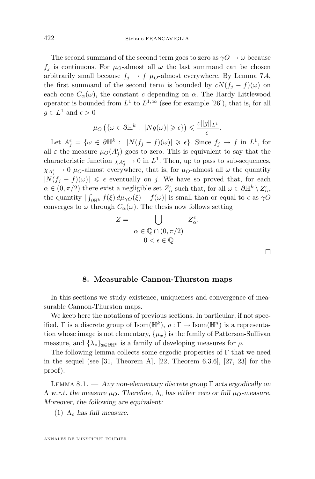<span id="page-30-0"></span>The second summand of the second term goes to zero as  $\gamma O \rightarrow \omega$  because  $f_i$  is continuous. For  $\mu_0$ -almost all  $\omega$  the last summand can be chosen arbitrarily small because  $f_j \to f \mu_o$ -almost everywhere. By Lemma [7.4,](#page-28-0) the first summand of the second term is bounded by  $cN(f_i - f)(\omega)$  on each cone  $C_{\alpha}(\omega)$ , the constant c depending on  $\alpha$ . The Hardy Littlewood operator is bounded from  $L^1$  to  $L^{1,\infty}$  (see for example [\[26\]](#page-36-0)), that is, for all  $g \in L^1$  and  $\epsilon > 0$ 

$$
\mu_O\left(\{\omega\in\partial\mathbb{H}^k:\;|Ng(\omega)|\geqslant\epsilon\}\right)\leqslant\frac{c||g||_{L^1}}{\epsilon}.
$$

Let  $A_j^{\epsilon} = {\omega \in \partial \mathbb{H}^k : |N(f_j - f)(\omega)| \geq \epsilon}.$  Since  $f_j \to f$  in  $L^1$ , for all  $\varepsilon$  the measure  $\mu_O(A_j^{\epsilon})$  goes to zero. This is equivalent to say that the characteristic function  $\chi_{A_j^{\epsilon}} \to 0$  in  $L^1$ . Then, up to pass to sub-sequences,  $\chi_{A_j^{\epsilon}} \to 0$   $\mu_O$ -almost everywhere, that is, for  $\mu_O$ -almost all  $\omega$  the quantity  $|N(f_i - f)(\omega)| \leq \epsilon$  eventually on j. We have so proved that, for each  $\alpha \in (0, \pi/2)$  there exist a negligible set  $Z_\alpha^\epsilon$  such that, for all  $\omega \in \partial \mathbb{H}^k \setminus Z_\alpha^\epsilon$ , the quantity  $|\int_{\partial \mathbb{H}^k} f(\xi) d\mu_{\gamma O}(\xi) - f(\omega)|$  is small than or equal to  $\epsilon$  as  $\gamma O$ converges to  $\omega$  through  $C_{\alpha}(\omega)$ . The thesis now follows setting

$$
Z = \bigcup_{\alpha \in \mathbb{Q} \cap (0, \pi/2)} Z_{\alpha}^{\epsilon}.
$$

$$
0 < \epsilon \in \mathbb{Q}
$$

 $\Box$ 

#### **8. Measurable Cannon-Thurston maps**

In this sections we study existence, uniqueness and convergence of measurable Cannon-Thurston maps.

We keep here the notations of previous sections. In particular, if not specified,  $\Gamma$  is a discrete group of  $\text{Isom}(\mathbb{H}^k)$ ,  $\rho : \Gamma \to \text{Isom}(\mathbb{H}^n)$  is a representation whose image is not elementary,  $\{\mu_x\}$  is the family of Patterson-Sullivan measure, and  $\{\lambda_z\}_{z\in\partial\mathbb{H}^k}$  is a family of developing measures for  $\rho$ .

The following lemma collects some ergodic properties of Γ that we need in the sequel (see [\[31,](#page-36-0) Theorem A], [\[22,](#page-36-0) Theorem 6.3.6], [\[27,](#page-36-0) [23\]](#page-36-0) for the proof).

Lemma 8.1. — *Any non-elementary discrete group* Γ *acts ergodically on*  $\Lambda$  w.r.t. the measure  $\mu_O$ . Therefore,  $\Lambda_c$  has either zero or full  $\mu_O$ -measure. *Moreover, the following are equivalent:*

 $(1)$   $\Lambda_c$  *has full measure.*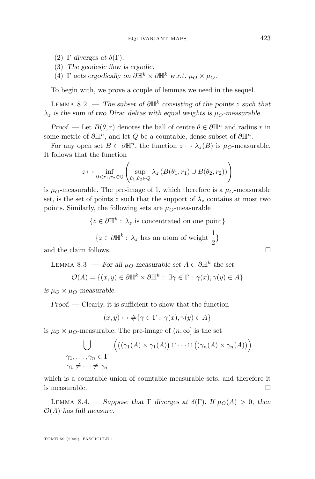- <span id="page-31-0"></span>(2)  $\Gamma$  *diverges at*  $\delta(\Gamma)$ *.*
- (3) *The geodesic flow is ergodic.*
- (4)  $\Gamma$  *acts ergodically on*  $\partial \mathbb{H}^k \times \partial \mathbb{H}^k$  *w.r.t.*  $\mu_O \times \mu_O$ .

To begin with, we prove a couple of lemmas we need in the sequel.

Lemma 8.2. — *The subset of* ∂H<sup>k</sup> *consisting of the points* z *such that*  $\lambda_z$  *is the sum of two Dirac deltas with equal weights is*  $\mu_O$ -measurable.

*Proof.* — Let  $B(\theta, r)$  denotes the ball of centre  $\theta \in \partial \mathbb{H}^n$  and radius r in some metric of  $\partial \mathbb{H}^n$ , and let Q be a countable, dense subset of  $\partial \mathbb{H}^n$ .

For any open set  $B \subset \partial \mathbb{H}^n$ , the function  $z \mapsto \lambda_z(B)$  is  $\mu_O$ -measurable. It follows that the function

$$
z \mapsto \inf_{0 < r_1, r_2 \in \mathbb{Q}} \left( \sup_{\theta_1, \theta_2 \in Q} \lambda_z \left( B(\theta_1, r_1) \cup B(\theta_2, r_2) \right) \right)
$$

is  $\mu_{\Omega}$ -measurable. The pre-image of 1, which therefore is a  $\mu_{\Omega}$ -measurable set, is the set of points z such that the support of  $\lambda_z$  contains at most two points. Similarly, the following sets are  $\mu_{\mathcal{O}}$ -measurable

> $\{z \in \partial \mathbb{H}^k : \lambda_z \text{ is concentrated on one point}\}\$  $\{z \in \partial \mathbb{H}^k : \lambda_z \text{ has an atom of weight } \frac{1}{2}\}\$

and the claim follows.

LEMMA 8.3. — *For all*  $\mu$ <sub>O</sub>-measurable set  $A \subset \partial \mathbb{H}^k$  the set

$$
\mathcal{O}(A) = \{(x, y) \in \partial \mathbb{H}^k \times \partial \mathbb{H}^k : \exists \gamma \in \Gamma : \gamma(x), \gamma(y) \in A\}
$$

*is*  $\mu_{\Omega} \times \mu_{\Omega}$ -measurable.

*Proof. —* Clearly, it is sufficient to show that the function

$$
(x, y) \mapsto \#\{\gamma \in \Gamma : \gamma(x), \gamma(y) \in A\}
$$

is  $\mu_{\mathcal{O}} \times \mu_{\mathcal{O}}$ -measurable. The pre-image of  $(n, \infty]$  is the set

$$
\bigcup_{\substack{\gamma_1,\ldots,\gamma_n \in \Gamma \\ \gamma_1 \neq \cdots \neq \gamma_n}} \left( \left( (\gamma_1(A) \times \gamma_1(A)) \cap \cdots \cap \left( (\gamma_n(A) \times \gamma_n(A)) \right) \right) \right)
$$

which is a countable union of countable measurable sets, and therefore it is measurable.  $\Box$ 

LEMMA 8.4. — *Suppose that*  $\Gamma$  *diverges at*  $\delta(\Gamma)$ *. If*  $\mu_O(A) > 0$ *, then* O(A) *has full measure.*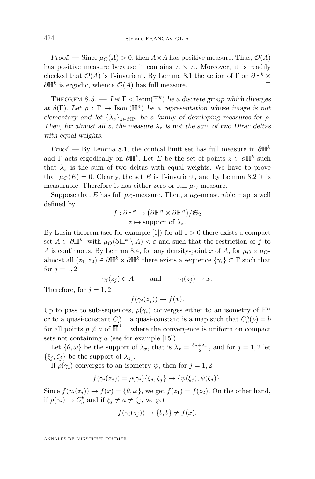<span id="page-32-0"></span>*Proof.* — Since  $\mu_O(A) > 0$ , then  $A \times A$  has positive measure. Thus,  $\mathcal{O}(A)$ has positive measure because it contains  $A \times A$ . Moreover, it is readily checked that  $\mathcal{O}(A)$  is Γ-invariant. By Lemma [8.1](#page-30-0) the action of Γ on  $\partial \mathbb{H}^k \times$  $\partial \mathbb{H}^k$  is ergodic, whence  $\mathcal{O}(A)$  has full measure.

THEOREM 8.5.  $-$  Let  $\Gamma$  < Isom( $\mathbb{H}^k$ ) be a discrete group which diverges *at*  $\delta(\Gamma)$ *. Let*  $\rho : \Gamma \to \text{Isom}(\mathbb{H}^n)$  *be a representation whose image is not elementary and let*  $\{\lambda_z\}_{z \in \partial \mathbb{H}^k}$  *be a family of developing measures for*  $\rho$ *. Then, for almost all* z, the measure  $\lambda_z$  *is not the sum of two Dirac deltas with equal weights.*

*Proof.* — By Lemma [8.1,](#page-30-0) the conical limit set has full measure in  $\partial \mathbb{H}^k$ and  $\Gamma$  acts ergodically on  $\partial \mathbb{H}^k$ . Let E be the set of points  $z \in \partial \mathbb{H}^k$  such that  $\lambda_z$  is the sum of two deltas with equal weights. We have to prove that  $\mu_O(E) = 0$ . Clearly, the set E is Γ-invariant, and by Lemma [8.2](#page-31-0) it is measurable. Therefore it has either zero or full  $\mu_{\Omega}$ -measure.

Suppose that E has full  $\mu_{\mathcal{O}}$ -measure. Then, a  $\mu_{\mathcal{O}}$ -measurable map is well defined by

$$
f: \partial \mathbb{H}^k \to (\partial \mathbb{H}^n \times \partial \mathbb{H}^n)/\mathfrak{S}_2
$$

$$
z \mapsto \text{support of } \lambda_z.
$$

By Lusin theorem (see for example [\[1\]](#page-35-0)) for all  $\varepsilon > 0$  there exists a compact set  $A \subset \partial \mathbb{H}^k$ , with  $\mu_O(\partial \mathbb{H}^k \setminus A) < \varepsilon$  and such that the restriction of f to A is continuous. By Lemma [8.4,](#page-31-0) for any density-point x of A, for  $\mu_{\Omega} \times \mu_{\Omega}$ almost all  $(z_1, z_2) \in \partial \mathbb{H}^k \times \partial \mathbb{H}^k$  there exists a sequence  $\{\gamma_i\} \subset \Gamma$  such that for  $j = 1, 2$ 

 $\gamma_i(z_i) \in A$  and  $\gamma_i(z_i) \to x$ .

Therefore, for  $j = 1, 2$ 

 $f(\gamma_i(z_i)) \to f(x)$ .

Up to pass to sub-sequences,  $\rho(\gamma_i)$  converges either to an isometry of  $\mathbb{H}^n$ or to a quasi-constant  $C_a^b$  - a quasi-constant is a map such that  $C_a^b(p) = b$ for all points  $p \neq a$  of  $\overline{\mathbb{H}}^n$  - where the convergence is uniform on compact sets not containing a (see for example [\[15\]](#page-36-0)).

Let  $\{\theta, \omega\}$  be the support of  $\lambda_x$ , that is  $\lambda_x = \frac{\delta_{\theta} + \delta_{\omega}}{2}$ , and for  $j = 1, 2$  let  $\{\xi_j,\zeta_j\}$  be the support of  $\lambda_{z_j}$ .

If  $\rho(\gamma_i)$  converges to an isometry  $\psi$ , then for  $j = 1, 2$ 

$$
f(\gamma_i(z_j)) = \rho(\gamma_i)\{\xi_j, \zeta_j\} \to \{\psi(\xi_j), \psi(\zeta_j)\}.
$$

Since  $f(\gamma_i(z_i)) \to f(x) = \{\theta, \omega\}$ , we get  $f(z_1) = f(z_2)$ . On the other hand, if  $\rho(\gamma_i) \to C_a^b$  and if  $\xi_j \neq a \neq \zeta_j$ , we get

$$
f(\gamma_i(z_j)) \to \{b, b\} \neq f(x).
$$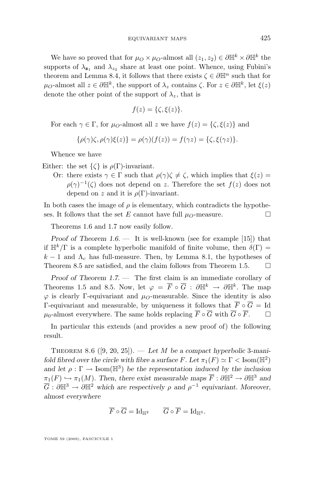We have so proved that for  $\mu_0 \times \mu_0$ -almost all  $(z_1, z_2) \in \partial \mathbb{H}^k \times \partial \mathbb{H}^k$  the supports of  $\lambda_{\mathbf{z}_1}$  and  $\lambda_{z_2}$  share at least one point. Whence, using Fubini's theorem and Lemma [8.4,](#page-31-0) it follows that there exists  $\zeta \in \partial \mathbb{H}^n$  such that for  $\mu_O$ -almost all  $z \in \partial \mathbb{H}^k$ , the support of  $\lambda_z$  contains  $\zeta$ . For  $z \in \partial \mathbb{H}^k$ , let  $\xi(z)$ denote the other point of the support of  $\lambda_z$ , that is

$$
f(z) = \{\zeta, \xi(z)\}.
$$

For each  $\gamma \in \Gamma$ , for  $\mu_{\Omega}$ -almost all z we have  $f(z) = {\zeta, \xi(z)}$  and

$$
\{\rho(\gamma)\zeta,\rho(\gamma)\xi(z)\}=\rho(\gamma)(f(z))=f(\gamma z)=\{\zeta,\xi(\gamma z)\}.
$$

Whence we have

Either: the set  $\{\zeta\}$  is  $\rho(\Gamma)$ -invariant.

Or: there exists  $\gamma \in \Gamma$  such that  $\rho(\gamma)\zeta \neq \zeta$ , which implies that  $\xi(z) =$  $\rho(\gamma)^{-1}(\zeta)$  does not depend on z. Therefore the set  $f(z)$  does not depend on z and it is  $\rho(\Gamma)$ -invariant.

In both cases the image of  $\rho$  is elementary, which contradicts the hypotheses. It follows that the set E cannot have full  $\mu_O$ -measure.

Theorems [1.6](#page-4-0) and [1.7](#page-5-0) now easily follow.

*Proof of Theorem* [1.6.](#page-4-0) — It is well-known (see for example [\[15\]](#page-36-0)) that if  $\mathbb{H}^k/\Gamma$  is a complete hyperbolic manifold of finite volume, then  $\delta(\Gamma)$  =  $k-1$  and  $\Lambda_c$  has full-measure. Then, by Lemma [8.1,](#page-30-0) the hypotheses of Theorem [8.5](#page-32-0) are satisfied, and the claim follows from Theorem [1.5.](#page-4-0)  $\Box$ 

*Proof of Theorem [1.7.](#page-5-0) —* The first claim is an immediate corollary of Theorems [1.5](#page-4-0) and [8.5.](#page-32-0) Now, let  $\varphi = \overline{F} \circ \overline{G} : \partial \mathbb{H}^k \to \partial \mathbb{H}^k$ . The map  $\varphi$  is clearly Γ-equivariant and  $\mu_{\Omega}$ -measurable. Since the identity is also Γ-equivariant and measurable, by uniqueness it follows that  $\overline{F} \circ \overline{G} = Id$  $\mu_0$ -almost everywhere. The same holds replacing  $\overline{F} \circ \overline{G}$  with  $\overline{G} \circ \overline{F}$ .  $\Box$ 

In particular this extends (and provides a new proof of) the following result.

THEOREM 8.6  $([9, 20, 25])$  $([9, 20, 25])$  $([9, 20, 25])$  $([9, 20, 25])$  $([9, 20, 25])$  $([9, 20, 25])$  $([9, 20, 25])$ . — Let M be a compact hyperbolic 3-mani*fold fibred over the circle with fibre a surface*  $F$ *. Let*  $\pi_1(F) \simeq \Gamma <$  Isom( $\mathbb{H}^2$ ) and let  $\rho : \Gamma \to \text{Isom}(\mathbb{H}^3)$  be the representation induced by the inclusion  $\pi_1(F) \hookrightarrow \pi_1(M)$ *. Then, there exist measurable maps*  $\overline{F} : \partial \mathbb{H}^2 \to \partial \mathbb{H}^3$  *and*  $\overline{G}: \partial \mathbb{H}^3 \to \partial \mathbb{H}^2$  which are respectively  $\rho$  and  $\rho^{-1}$  equivariant. Moreover, *almost everywhere*

$$
\overline{F}\circ \overline{G}=\mathrm{Id}_{\mathbb{H}^2} \qquad \overline{G}\circ \overline{F}=\mathrm{Id}_{\mathbb{H}^3}.
$$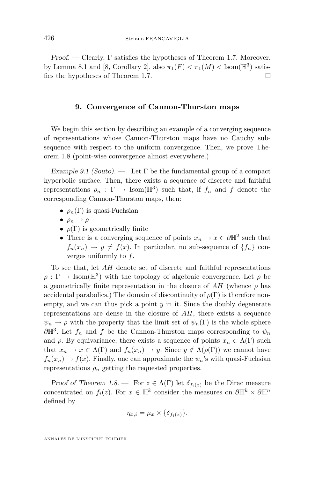<span id="page-34-0"></span>*Proof. —* Clearly, Γ satisfies the hypotheses of Theorem [1.7.](#page-5-0) Moreover, by Lemma [8.1](#page-30-0) and [\[8,](#page-35-0) Corollary 2], also  $\pi_1(F) < \pi_1(M) <$  Isom( $\mathbb{H}^3$ ) satis-fies the hypotheses of Theorem [1.7.](#page-5-0)

#### **9. Convergence of Cannon-Thurston maps**

We begin this section by describing an example of a converging sequence of representations whose Cannon-Thurston maps have no Cauchy subsequence with respect to the uniform convergence. Then, we prove Theorem [1.8](#page-5-0) (point-wise convergence almost everywhere.)

*Example 9.1 (Souto). —* Let Γ be the fundamental group of a compact hyperbolic surface. Then, there exists a sequence of discrete and faithful representations  $\rho_n : \Gamma \to \text{Isom}(\mathbb{H}^3)$  such that, if  $f_n$  and f denote the corresponding Cannon-Thurston maps, then:

- $\rho_n(\Gamma)$  is quasi-Fuchsian
- $\rho_n \rightarrow \rho$
- $\rho(\Gamma)$  is geometrically finite
- There is a converging sequence of points  $x_n \to x \in \partial \mathbb{H}^2$  such that  $f_n(x_n) \to y \neq f(x)$ . In particular, no sub-sequence of  $\{f_n\}$  converges uniformly to f.

To see that, let AH denote set of discrete and faithful representations  $\rho : \Gamma \to \text{Isom}(\mathbb{H}^3)$  with the topology of algebraic convergence. Let  $\rho$  be a geometrically finite representation in the closure of  $AH$  (whence  $\rho$  has accidental parabolics.) The domain of discontinuity of  $\rho(\Gamma)$  is therefore nonempty, and we can thus pick a point  $y$  in it. Since the doubly degenerate representations are dense in the closure of  $AH$ , there exists a sequence  $\psi_n \to \rho$  with the property that the limit set of  $\psi_n(\Gamma)$  is the whole sphere  $\partial \mathbb{H}^3$ . Let  $f_n$  and f be the Cannon-Thurston maps corresponding to  $\psi_n$ and  $\rho$ . By equivariance, there exists a sequence of points  $x_n \in \Lambda(\Gamma)$  such that  $x_n \to x \in \Lambda(\Gamma)$  and  $f_n(x_n) \to y$ . Since  $y \notin \Lambda(\rho(\Gamma))$  we cannot have  $f_n(x_n) \to f(x)$ . Finally, one can approximate the  $\psi_n$ 's with quasi-Fuchsian representations  $\rho_n$  getting the requested properties.

*Proof of Theorem [1.8.](#page-5-0)* — For  $z \in \Lambda(\Gamma)$  let  $\delta_{f_i(z)}$  be the Dirac measure concentrated on  $f_i(z)$ . For  $x \in \mathbb{H}^k$  consider the measures on  $\partial \mathbb{H}^k \times \partial \mathbb{H}^n$ defined by

$$
\eta_{x,i} = \mu_x \times \{\delta_{f_i(z)}\}.
$$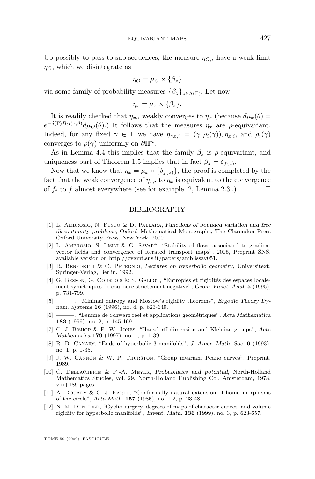<span id="page-35-0"></span>Up possibly to pass to sub-sequences, the measure  $\eta_{O,i}$  have a weak limit  $\eta_O$ , which we disintegrate as

$$
\eta_O = \mu_O \times \{\beta_z\}
$$

via some family of probability measures  $\{\beta_z\}_{z \in \Lambda(\Gamma)}$ . Let now

$$
\eta_x = \mu_x \times \{\beta_z\}.
$$

It is readily checked that  $\eta_{x,i}$  weakly converges to  $\eta_x$  (because  $d\mu_x(\theta) =$  $e^{-\delta(\Gamma)B_O(x,\theta)}d\mu_O(\theta)$ .) It follows that the measures  $\eta_x$  are  $\rho$ -equivariant. Indeed, for any fixed  $\gamma \in \Gamma$  we have  $\eta_{\gamma x,i} = (\gamma, \rho_i(\gamma))_* \eta_{x,i}$ , and  $\rho_i(\gamma)$ converges to  $\rho(\gamma)$  uniformly on  $\partial \mathbb{H}^n$ .

As in Lemma [4.4](#page-19-0) this implies that the family  $\beta_z$  is  $\rho$ -equivariant, and uniqueness part of Theorem [1.5](#page-4-0) implies that in fact  $\beta_z = \delta_{f(z)}$ .

Now that we know that  $\eta_x = \mu_x \times {\delta_{f(z)}}$ , the proof is completed by the fact that the weak convergence of  $\eta_{x,i}$  to  $\eta_x$  is equivalent to the convergence of  $f_i$  to f almost everywhere (see for example [2, Lemma 2.3].)

#### BIBLIOGRAPHY

- [1] L. Ambrosio, N. Fusco & D. Pallara, *Functions of bounded variation and free discontinuity problems*, Oxford Mathematical Monographs, The Clarendon Press Oxford University Press, New York, 2000.
- [2] L. Ambrosio, S. Lisini & G. Savaré, "Stability of flows associated to gradient vector fields and convergence of iterated transport maps", 2005, Preprint SNS, available version on http://cvgmt.sns.it/papers/amblissav051.
- [3] R. Benedetti & C. Petronio, *Lectures on hyperbolic geometry*, Universitext, Springer-Verlag, Berlin, 1992.
- [4] G. Besson, G. Courtois & S. Gallot, "Entropies et rigidités des espaces localement symétriques de courbure strictement négative", *Geom. Funct. Anal.* **5** (1995), p. 731-799.
- [5] ——— , "Minimal entropy and Mostow's rigidity theorems", *Ergodic Theory Dynam. Systems* **16** (1996), no. 4, p. 623-649.
- [6] ——— , "Lemme de Schwarz réel et applications géométriques", *Acta Mathematica* **183** (1999), no. 2, p. 145-169.
- [7] C. J. Bishop & P. W. Jones, "Hausdorff dimension and Kleinian groups", *Acta Mathematica* **179** (1997), no. 1, p. 1-39.
- [8] R. D. Canary, "Ends of hyperbolic 3-manifolds", *J. Amer. Math. Soc.* **6** (1993), no. 1, p. 1-35.
- [9] J. W. Cannon & W. P. Thurston, "Group invariant Peano curves", Preprint, 1989.
- [10] C. Dellacherie & P.-A. Meyer, *Probabilities and potential*, North-Holland Mathematics Studies, vol. 29, North-Holland Publishing Co., Amsterdam, 1978,  $viii+189$  pages.
- [11] A. DOUADY & C. J. EARLE, "Conformally natural extension of homeomorphisms of the circle", *Acta Math.* **157** (1986), no. 1-2, p. 23-48.
- [12] N. M. DUNFIELD, "Cyclic surgery, degrees of maps of character curves, and volume rigidity for hyperbolic manifolds", *Invent. Math.* **136** (1999), no. 3, p. 623-657.